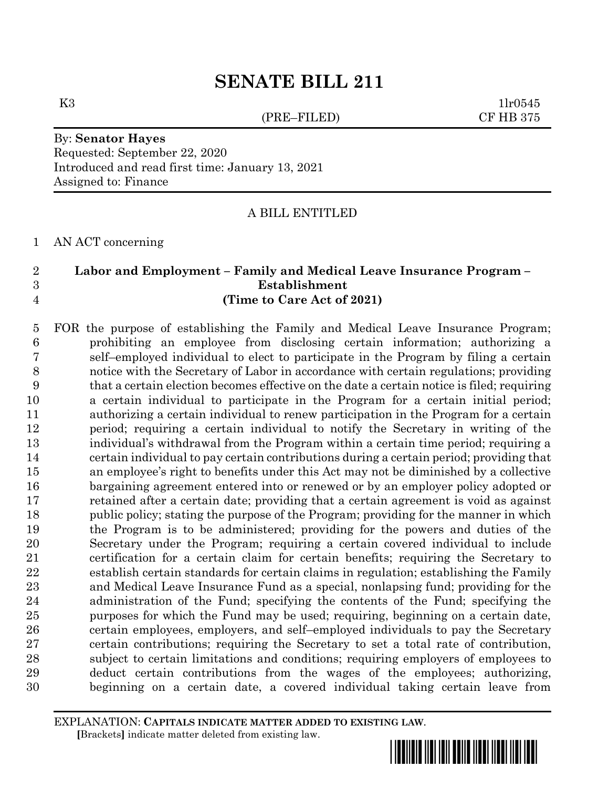# **SENATE BILL 211**

(PRE–FILED) CF HB 375

K3  $1\text{lr}0545$ 

## By: **Senator Hayes** Requested: September 22, 2020 Introduced and read first time: January 13, 2021 Assigned to: Finance

## A BILL ENTITLED

AN ACT concerning

## **Labor and Employment – Family and Medical Leave Insurance Program – Establishment (Time to Care Act of 2021)**

 FOR the purpose of establishing the Family and Medical Leave Insurance Program; prohibiting an employee from disclosing certain information; authorizing a self–employed individual to elect to participate in the Program by filing a certain notice with the Secretary of Labor in accordance with certain regulations; providing that a certain election becomes effective on the date a certain notice is filed; requiring a certain individual to participate in the Program for a certain initial period; authorizing a certain individual to renew participation in the Program for a certain period; requiring a certain individual to notify the Secretary in writing of the individual's withdrawal from the Program within a certain time period; requiring a certain individual to pay certain contributions during a certain period; providing that an employee's right to benefits under this Act may not be diminished by a collective bargaining agreement entered into or renewed or by an employer policy adopted or retained after a certain date; providing that a certain agreement is void as against 18 public policy; stating the purpose of the Program; providing for the manner in which the Program is to be administered; providing for the powers and duties of the Secretary under the Program; requiring a certain covered individual to include certification for a certain claim for certain benefits; requiring the Secretary to establish certain standards for certain claims in regulation; establishing the Family and Medical Leave Insurance Fund as a special, nonlapsing fund; providing for the administration of the Fund; specifying the contents of the Fund; specifying the purposes for which the Fund may be used; requiring, beginning on a certain date, certain employees, employers, and self–employed individuals to pay the Secretary certain contributions; requiring the Secretary to set a total rate of contribution, subject to certain limitations and conditions; requiring employers of employees to deduct certain contributions from the wages of the employees; authorizing, beginning on a certain date, a covered individual taking certain leave from

EXPLANATION: **CAPITALS INDICATE MATTER ADDED TO EXISTING LAW**.  **[**Brackets**]** indicate matter deleted from existing law.

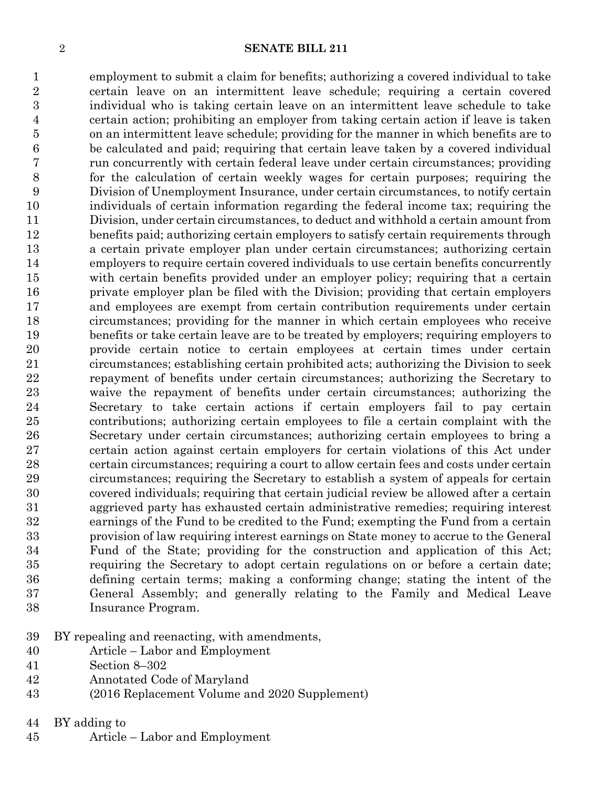#### **SENATE BILL 211**

 employment to submit a claim for benefits; authorizing a covered individual to take certain leave on an intermittent leave schedule; requiring a certain covered individual who is taking certain leave on an intermittent leave schedule to take certain action; prohibiting an employer from taking certain action if leave is taken on an intermittent leave schedule; providing for the manner in which benefits are to be calculated and paid; requiring that certain leave taken by a covered individual run concurrently with certain federal leave under certain circumstances; providing for the calculation of certain weekly wages for certain purposes; requiring the Division of Unemployment Insurance, under certain circumstances, to notify certain individuals of certain information regarding the federal income tax; requiring the Division, under certain circumstances, to deduct and withhold a certain amount from 12 benefits paid; authorizing certain employers to satisfy certain requirements through a certain private employer plan under certain circumstances; authorizing certain employers to require certain covered individuals to use certain benefits concurrently with certain benefits provided under an employer policy; requiring that a certain private employer plan be filed with the Division; providing that certain employers and employees are exempt from certain contribution requirements under certain circumstances; providing for the manner in which certain employees who receive benefits or take certain leave are to be treated by employers; requiring employers to provide certain notice to certain employees at certain times under certain circumstances; establishing certain prohibited acts; authorizing the Division to seek repayment of benefits under certain circumstances; authorizing the Secretary to waive the repayment of benefits under certain circumstances; authorizing the Secretary to take certain actions if certain employers fail to pay certain contributions; authorizing certain employees to file a certain complaint with the Secretary under certain circumstances; authorizing certain employees to bring a certain action against certain employers for certain violations of this Act under certain circumstances; requiring a court to allow certain fees and costs under certain circumstances; requiring the Secretary to establish a system of appeals for certain covered individuals; requiring that certain judicial review be allowed after a certain aggrieved party has exhausted certain administrative remedies; requiring interest earnings of the Fund to be credited to the Fund; exempting the Fund from a certain provision of law requiring interest earnings on State money to accrue to the General Fund of the State; providing for the construction and application of this Act; requiring the Secretary to adopt certain regulations on or before a certain date; defining certain terms; making a conforming change; stating the intent of the General Assembly; and generally relating to the Family and Medical Leave Insurance Program.

- BY repealing and reenacting, with amendments,
- Article Labor and Employment
- Section 8–302
- Annotated Code of Maryland
- (2016 Replacement Volume and 2020 Supplement)
- BY adding to
- Article Labor and Employment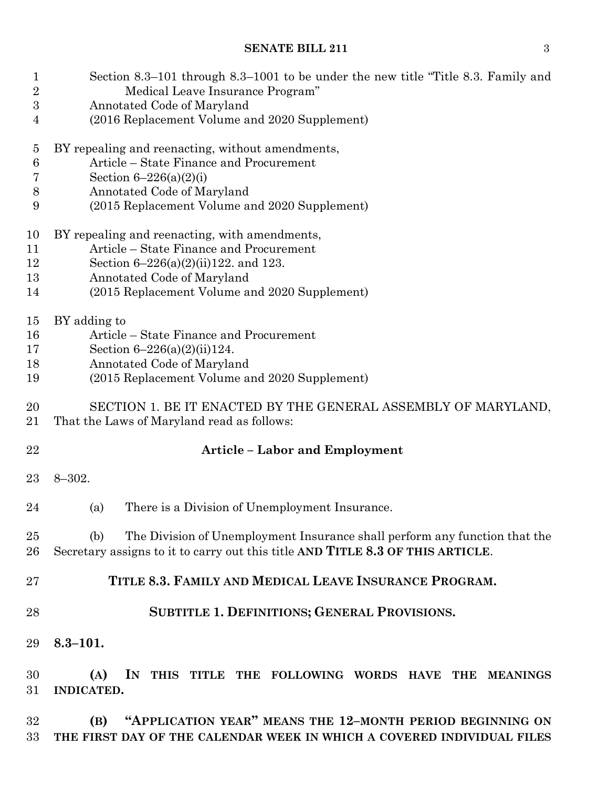| 1<br>$\overline{2}$ | Section 8.3–101 through 8.3–1001 to be under the new title "Title 8.3. Family and<br>Medical Leave Insurance Program"                                               |  |  |  |  |  |  |  |  |  |
|---------------------|---------------------------------------------------------------------------------------------------------------------------------------------------------------------|--|--|--|--|--|--|--|--|--|
| 3                   | Annotated Code of Maryland                                                                                                                                          |  |  |  |  |  |  |  |  |  |
| 4                   | (2016 Replacement Volume and 2020 Supplement)                                                                                                                       |  |  |  |  |  |  |  |  |  |
| $\overline{5}$      | BY repealing and reenacting, without amendments,                                                                                                                    |  |  |  |  |  |  |  |  |  |
| $\,6$               | Article – State Finance and Procurement                                                                                                                             |  |  |  |  |  |  |  |  |  |
| 7                   | Section $6-226(a)(2)(i)$                                                                                                                                            |  |  |  |  |  |  |  |  |  |
| $8\,$               | Annotated Code of Maryland                                                                                                                                          |  |  |  |  |  |  |  |  |  |
| 9                   | (2015 Replacement Volume and 2020 Supplement)                                                                                                                       |  |  |  |  |  |  |  |  |  |
| 10                  | BY repealing and reenacting, with amendments,                                                                                                                       |  |  |  |  |  |  |  |  |  |
| 11                  | Article – State Finance and Procurement                                                                                                                             |  |  |  |  |  |  |  |  |  |
| 12                  | Section $6-226(a)(2)(ii)122$ , and 123.                                                                                                                             |  |  |  |  |  |  |  |  |  |
| 13                  | Annotated Code of Maryland                                                                                                                                          |  |  |  |  |  |  |  |  |  |
| 14                  | (2015 Replacement Volume and 2020 Supplement)                                                                                                                       |  |  |  |  |  |  |  |  |  |
| 15                  | BY adding to                                                                                                                                                        |  |  |  |  |  |  |  |  |  |
| 16                  | Article – State Finance and Procurement                                                                                                                             |  |  |  |  |  |  |  |  |  |
| 17                  | Section $6-226(a)(2)(ii)124$ .                                                                                                                                      |  |  |  |  |  |  |  |  |  |
| 18                  | Annotated Code of Maryland                                                                                                                                          |  |  |  |  |  |  |  |  |  |
| 19                  | (2015 Replacement Volume and 2020 Supplement)                                                                                                                       |  |  |  |  |  |  |  |  |  |
| 20<br>21            | SECTION 1. BE IT ENACTED BY THE GENERAL ASSEMBLY OF MARYLAND,<br>That the Laws of Maryland read as follows:                                                         |  |  |  |  |  |  |  |  |  |
| 22                  | <b>Article - Labor and Employment</b>                                                                                                                               |  |  |  |  |  |  |  |  |  |
| 23                  | $8 - 302.$                                                                                                                                                          |  |  |  |  |  |  |  |  |  |
| 24                  | There is a Division of Unemployment Insurance.<br>(a)                                                                                                               |  |  |  |  |  |  |  |  |  |
|                     |                                                                                                                                                                     |  |  |  |  |  |  |  |  |  |
| 25<br>26            | The Division of Unemployment Insurance shall perform any function that the<br>(b)<br>Secretary assigns to it to carry out this title AND TITLE 8.3 OF THIS ARTICLE. |  |  |  |  |  |  |  |  |  |
| 27                  | TITLE 8.3. FAMILY AND MEDICAL LEAVE INSURANCE PROGRAM.                                                                                                              |  |  |  |  |  |  |  |  |  |
| 28                  | SUBTITLE 1. DEFINITIONS; GENERAL PROVISIONS.                                                                                                                        |  |  |  |  |  |  |  |  |  |
| 29                  | $8.3 - 101.$                                                                                                                                                        |  |  |  |  |  |  |  |  |  |
| 30                  | IN<br>(A)<br>THIS TITLE THE FOLLOWING WORDS HAVE THE<br><b>MEANINGS</b>                                                                                             |  |  |  |  |  |  |  |  |  |
| 31                  | <b>INDICATED.</b>                                                                                                                                                   |  |  |  |  |  |  |  |  |  |
| 32                  | "APPLICATION YEAR" MEANS THE 12-MONTH PERIOD BEGINNING ON<br>(B)                                                                                                    |  |  |  |  |  |  |  |  |  |
| 33                  | THE FIRST DAY OF THE CALENDAR WEEK IN WHICH A COVERED INDIVIDUAL FILES                                                                                              |  |  |  |  |  |  |  |  |  |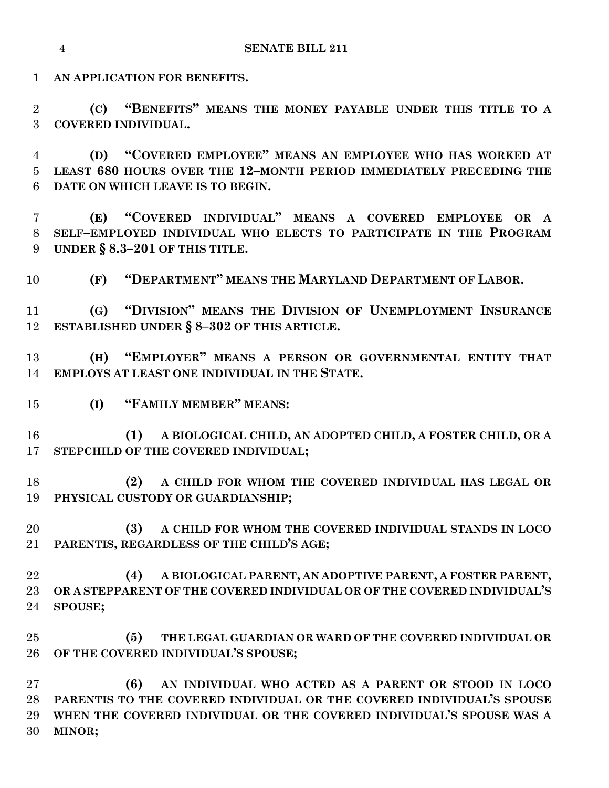**AN APPLICATION FOR BENEFITS.**

 **(C) "BENEFITS" MEANS THE MONEY PAYABLE UNDER THIS TITLE TO A COVERED INDIVIDUAL.**

 **(D) "COVERED EMPLOYEE" MEANS AN EMPLOYEE WHO HAS WORKED AT LEAST 680 HOURS OVER THE 12–MONTH PERIOD IMMEDIATELY PRECEDING THE DATE ON WHICH LEAVE IS TO BEGIN.**

 **(E) "COVERED INDIVIDUAL" MEANS A COVERED EMPLOYEE OR A SELF–EMPLOYED INDIVIDUAL WHO ELECTS TO PARTICIPATE IN THE PROGRAM UNDER § 8.3–201 OF THIS TITLE.**

**(F) "DEPARTMENT" MEANS THE MARYLAND DEPARTMENT OF LABOR.**

 **(G) "DIVISION" MEANS THE DIVISION OF UNEMPLOYMENT INSURANCE ESTABLISHED UNDER § 8–302 OF THIS ARTICLE.**

 **(H) "EMPLOYER" MEANS A PERSON OR GOVERNMENTAL ENTITY THAT EMPLOYS AT LEAST ONE INDIVIDUAL IN THE STATE.**

**(I) "FAMILY MEMBER" MEANS:**

 **(1) A BIOLOGICAL CHILD, AN ADOPTED CHILD, A FOSTER CHILD, OR A STEPCHILD OF THE COVERED INDIVIDUAL;**

 **(2) A CHILD FOR WHOM THE COVERED INDIVIDUAL HAS LEGAL OR PHYSICAL CUSTODY OR GUARDIANSHIP;**

 **(3) A CHILD FOR WHOM THE COVERED INDIVIDUAL STANDS IN LOCO PARENTIS, REGARDLESS OF THE CHILD'S AGE;**

 **(4) A BIOLOGICAL PARENT, AN ADOPTIVE PARENT, A FOSTER PARENT, OR A STEPPARENT OF THE COVERED INDIVIDUAL OR OF THE COVERED INDIVIDUAL'S SPOUSE;**

 **(5) THE LEGAL GUARDIAN OR WARD OF THE COVERED INDIVIDUAL OR OF THE COVERED INDIVIDUAL'S SPOUSE;**

 **(6) AN INDIVIDUAL WHO ACTED AS A PARENT OR STOOD IN LOCO PARENTIS TO THE COVERED INDIVIDUAL OR THE COVERED INDIVIDUAL'S SPOUSE WHEN THE COVERED INDIVIDUAL OR THE COVERED INDIVIDUAL'S SPOUSE WAS A MINOR;**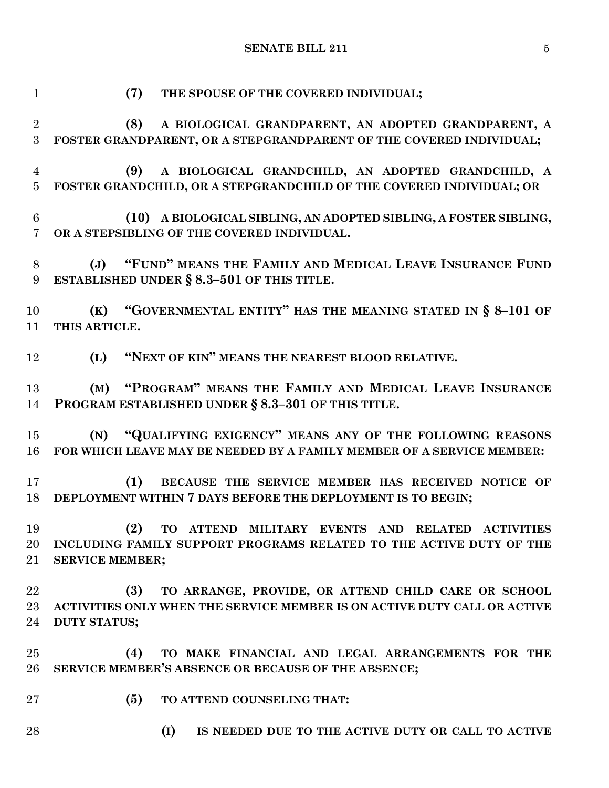**(7) THE SPOUSE OF THE COVERED INDIVIDUAL; (8) A BIOLOGICAL GRANDPARENT, AN ADOPTED GRANDPARENT, A FOSTER GRANDPARENT, OR A STEPGRANDPARENT OF THE COVERED INDIVIDUAL; (9) A BIOLOGICAL GRANDCHILD, AN ADOPTED GRANDCHILD, A FOSTER GRANDCHILD, OR A STEPGRANDCHILD OF THE COVERED INDIVIDUAL; OR (10) A BIOLOGICAL SIBLING, AN ADOPTED SIBLING, A FOSTER SIBLING, OR A STEPSIBLING OF THE COVERED INDIVIDUAL. (J) "FUND" MEANS THE FAMILY AND MEDICAL LEAVE INSURANCE FUND ESTABLISHED UNDER § 8.3–501 OF THIS TITLE. (K) "GOVERNMENTAL ENTITY" HAS THE MEANING STATED IN § 8–101 OF THIS ARTICLE. (L) "NEXT OF KIN" MEANS THE NEAREST BLOOD RELATIVE. (M) "PROGRAM" MEANS THE FAMILY AND MEDICAL LEAVE INSURANCE PROGRAM ESTABLISHED UNDER § 8.3–301 OF THIS TITLE. (N) "QUALIFYING EXIGENCY" MEANS ANY OF THE FOLLOWING REASONS FOR WHICH LEAVE MAY BE NEEDED BY A FAMILY MEMBER OF A SERVICE MEMBER: (1) BECAUSE THE SERVICE MEMBER HAS RECEIVED NOTICE OF DEPLOYMENT WITHIN 7 DAYS BEFORE THE DEPLOYMENT IS TO BEGIN; (2) TO ATTEND MILITARY EVENTS AND RELATED ACTIVITIES INCLUDING FAMILY SUPPORT PROGRAMS RELATED TO THE ACTIVE DUTY OF THE SERVICE MEMBER; (3) TO ARRANGE, PROVIDE, OR ATTEND CHILD CARE OR SCHOOL ACTIVITIES ONLY WHEN THE SERVICE MEMBER IS ON ACTIVE DUTY CALL OR ACTIVE DUTY STATUS; (4) TO MAKE FINANCIAL AND LEGAL ARRANGEMENTS FOR THE SERVICE MEMBER'S ABSENCE OR BECAUSE OF THE ABSENCE; (5) TO ATTEND COUNSELING THAT: (I) IS NEEDED DUE TO THE ACTIVE DUTY OR CALL TO ACTIVE**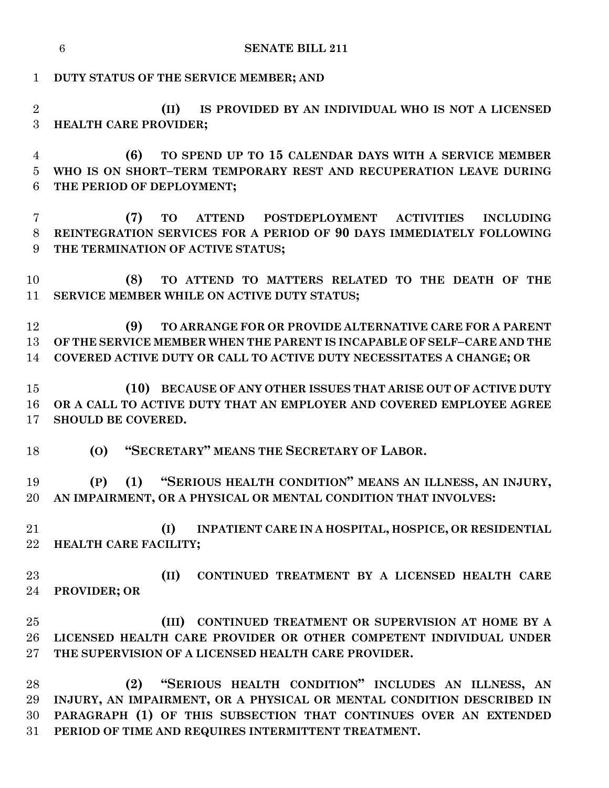|                      | <b>SENATE BILL 211</b><br>6                                                                                                                                                                                                                                   |
|----------------------|---------------------------------------------------------------------------------------------------------------------------------------------------------------------------------------------------------------------------------------------------------------|
| $\mathbf{1}$         | DUTY STATUS OF THE SERVICE MEMBER; AND                                                                                                                                                                                                                        |
| $\overline{2}$<br>3  | IS PROVIDED BY AN INDIVIDUAL WHO IS NOT A LICENSED<br>(II)<br>HEALTH CARE PROVIDER;                                                                                                                                                                           |
| 4<br>5<br>6          | TO SPEND UP TO 15 CALENDAR DAYS WITH A SERVICE MEMBER<br>(6)<br>WHO IS ON SHORT-TERM TEMPORARY REST AND RECUPERATION LEAVE DURING<br>THE PERIOD OF DEPLOYMENT;                                                                                                |
| 7<br>8<br>9          | POSTDEPLOYMENT ACTIVITIES<br>(7)<br><b>ATTEND</b><br><b>INCLUDING</b><br><b>TO</b><br>REINTEGRATION SERVICES FOR A PERIOD OF 90 DAYS IMMEDIATELY FOLLOWING<br>THE TERMINATION OF ACTIVE STATUS;                                                               |
| 10<br>11             | TO ATTEND TO MATTERS RELATED TO THE DEATH OF THE<br>(8)<br>SERVICE MEMBER WHILE ON ACTIVE DUTY STATUS;                                                                                                                                                        |
| 12<br>13<br>14       | (9)<br>TO ARRANGE FOR OR PROVIDE ALTERNATIVE CARE FOR A PARENT<br>OF THE SERVICE MEMBER WHEN THE PARENT IS INCAPABLE OF SELF-CARE AND THE<br>COVERED ACTIVE DUTY OR CALL TO ACTIVE DUTY NECESSITATES A CHANGE; OR                                             |
| 15<br>16<br>17       | (10) BECAUSE OF ANY OTHER ISSUES THAT ARISE OUT OF ACTIVE DUTY<br>OR A CALL TO ACTIVE DUTY THAT AN EMPLOYER AND COVERED EMPLOYEE AGREE<br>SHOULD BE COVERED.                                                                                                  |
| 18                   | "SECRETARY" MEANS THE SECRETARY OF LABOR.<br>(O)                                                                                                                                                                                                              |
| 19<br>20             | (1) "SERIOUS HEALTH CONDITION" MEANS AN ILLNESS, AN INJURY,<br>(P)<br>AN IMPAIRMENT, OR A PHYSICAL OR MENTAL CONDITION THAT INVOLVES:                                                                                                                         |
| 21<br>22             | (I)<br>INPATIENT CARE IN A HOSPITAL, HOSPICE, OR RESIDENTIAL<br>HEALTH CARE FACILITY;                                                                                                                                                                         |
| 23<br>24             | (II)<br>CONTINUED TREATMENT BY A LICENSED HEALTH CARE<br>PROVIDER; OR                                                                                                                                                                                         |
| 25<br>26<br>$27\,$   | (III)<br>CONTINUED TREATMENT OR SUPERVISION AT HOME BY A<br>LICENSED HEALTH CARE PROVIDER OR OTHER COMPETENT INDIVIDUAL UNDER<br>THE SUPERVISION OF A LICENSED HEALTH CARE PROVIDER.                                                                          |
| 28<br>29<br>30<br>31 | "SERIOUS HEALTH CONDITION" INCLUDES AN ILLNESS, AN<br>(2)<br>INJURY, AN IMPAIRMENT, OR A PHYSICAL OR MENTAL CONDITION DESCRIBED IN<br>PARAGRAPH (1) OF THIS SUBSECTION THAT CONTINUES OVER AN EXTENDED<br>PERIOD OF TIME AND REQUIRES INTERMITTENT TREATMENT. |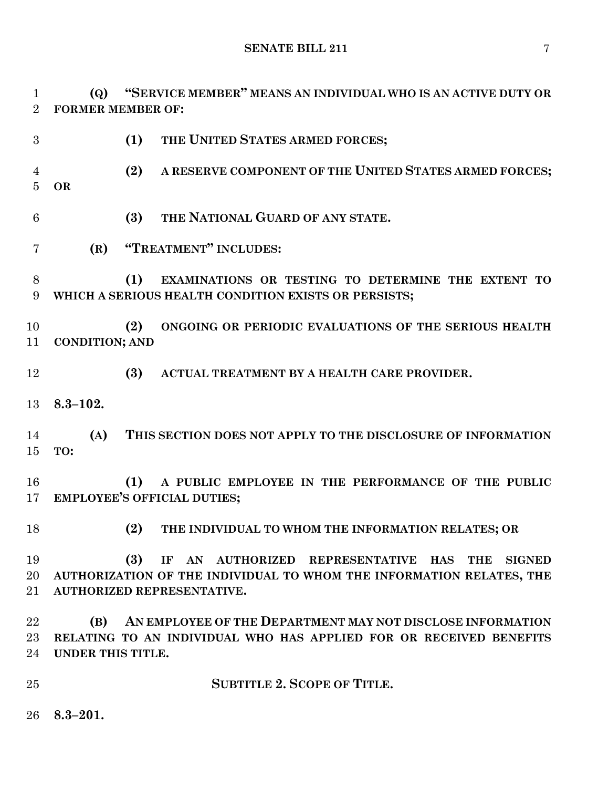**(Q) "SERVICE MEMBER" MEANS AN INDIVIDUAL WHO IS AN ACTIVE DUTY OR FORMER MEMBER OF:**

- **(1) THE UNITED STATES ARMED FORCES; (2) A RESERVE COMPONENT OF THE UNITED STATES ARMED FORCES; OR (3) THE NATIONAL GUARD OF ANY STATE. (R) "TREATMENT" INCLUDES: (1) EXAMINATIONS OR TESTING TO DETERMINE THE EXTENT TO WHICH A SERIOUS HEALTH CONDITION EXISTS OR PERSISTS; (2) ONGOING OR PERIODIC EVALUATIONS OF THE SERIOUS HEALTH CONDITION; AND (3) ACTUAL TREATMENT BY A HEALTH CARE PROVIDER. 8.3–102. (A) THIS SECTION DOES NOT APPLY TO THE DISCLOSURE OF INFORMATION TO: (1) A PUBLIC EMPLOYEE IN THE PERFORMANCE OF THE PUBLIC EMPLOYEE'S OFFICIAL DUTIES; (2) THE INDIVIDUAL TO WHOM THE INFORMATION RELATES; OR (3) IF AN AUTHORIZED REPRESENTATIVE HAS THE SIGNED AUTHORIZATION OF THE INDIVIDUAL TO WHOM THE INFORMATION RELATES, THE AUTHORIZED REPRESENTATIVE. (B) AN EMPLOYEE OF THE DEPARTMENT MAY NOT DISCLOSE INFORMATION RELATING TO AN INDIVIDUAL WHO HAS APPLIED FOR OR RECEIVED BENEFITS UNDER THIS TITLE. SUBTITLE 2. SCOPE OF TITLE.**
- **8.3–201.**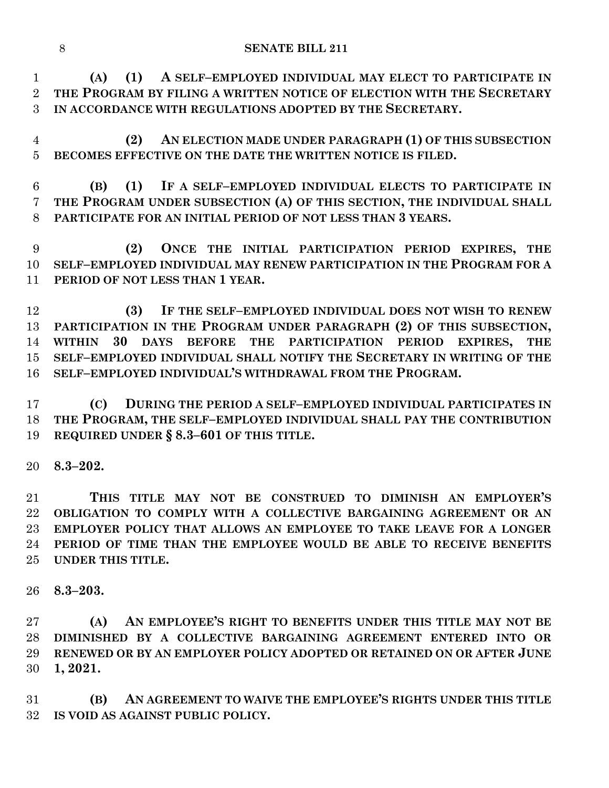**(A) (1) A SELF–EMPLOYED INDIVIDUAL MAY ELECT TO PARTICIPATE IN THE PROGRAM BY FILING A WRITTEN NOTICE OF ELECTION WITH THE SECRETARY IN ACCORDANCE WITH REGULATIONS ADOPTED BY THE SECRETARY.**

 **(2) AN ELECTION MADE UNDER PARAGRAPH (1) OF THIS SUBSECTION BECOMES EFFECTIVE ON THE DATE THE WRITTEN NOTICE IS FILED.**

 **(B) (1) IF A SELF–EMPLOYED INDIVIDUAL ELECTS TO PARTICIPATE IN THE PROGRAM UNDER SUBSECTION (A) OF THIS SECTION, THE INDIVIDUAL SHALL PARTICIPATE FOR AN INITIAL PERIOD OF NOT LESS THAN 3 YEARS.**

 **(2) ONCE THE INITIAL PARTICIPATION PERIOD EXPIRES, THE SELF–EMPLOYED INDIVIDUAL MAY RENEW PARTICIPATION IN THE PROGRAM FOR A PERIOD OF NOT LESS THAN 1 YEAR.**

 **(3) IF THE SELF–EMPLOYED INDIVIDUAL DOES NOT WISH TO RENEW PARTICIPATION IN THE PROGRAM UNDER PARAGRAPH (2) OF THIS SUBSECTION, WITHIN 30 DAYS BEFORE THE PARTICIPATION PERIOD EXPIRES, THE SELF–EMPLOYED INDIVIDUAL SHALL NOTIFY THE SECRETARY IN WRITING OF THE SELF–EMPLOYED INDIVIDUAL'S WITHDRAWAL FROM THE PROGRAM.**

 **(C) DURING THE PERIOD A SELF–EMPLOYED INDIVIDUAL PARTICIPATES IN THE PROGRAM, THE SELF–EMPLOYED INDIVIDUAL SHALL PAY THE CONTRIBUTION REQUIRED UNDER § 8.3–601 OF THIS TITLE.**

**8.3–202.**

 **THIS TITLE MAY NOT BE CONSTRUED TO DIMINISH AN EMPLOYER'S OBLIGATION TO COMPLY WITH A COLLECTIVE BARGAINING AGREEMENT OR AN EMPLOYER POLICY THAT ALLOWS AN EMPLOYEE TO TAKE LEAVE FOR A LONGER PERIOD OF TIME THAN THE EMPLOYEE WOULD BE ABLE TO RECEIVE BENEFITS UNDER THIS TITLE.**

**8.3–203.**

 **(A) AN EMPLOYEE'S RIGHT TO BENEFITS UNDER THIS TITLE MAY NOT BE DIMINISHED BY A COLLECTIVE BARGAINING AGREEMENT ENTERED INTO OR RENEWED OR BY AN EMPLOYER POLICY ADOPTED OR RETAINED ON OR AFTER JUNE 1, 2021.**

 **(B) AN AGREEMENT TO WAIVE THE EMPLOYEE'S RIGHTS UNDER THIS TITLE IS VOID AS AGAINST PUBLIC POLICY.**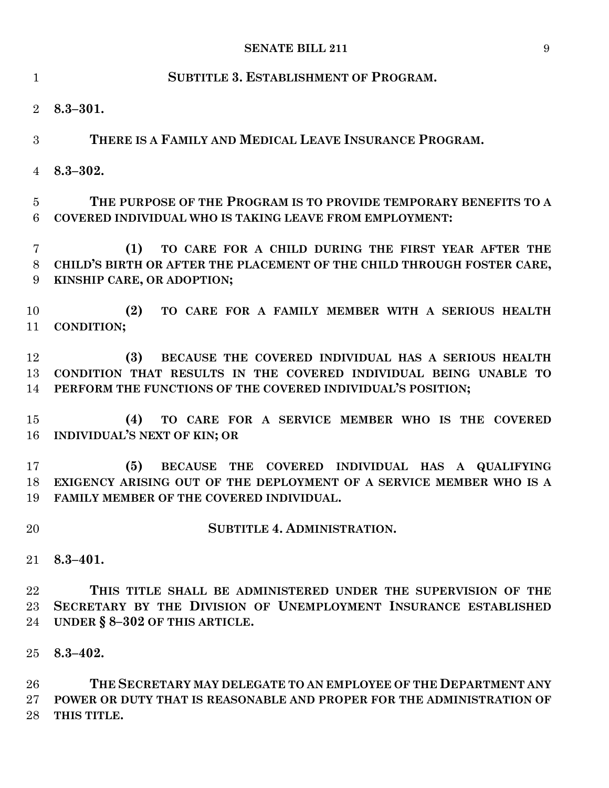| $\mathbf{1}$        | <b>SUBTITLE 3. ESTABLISHMENT OF PROGRAM.</b>                                                                                                                                                  |  |  |  |  |  |  |  |
|---------------------|-----------------------------------------------------------------------------------------------------------------------------------------------------------------------------------------------|--|--|--|--|--|--|--|
| 2                   | $8.3 - 301.$                                                                                                                                                                                  |  |  |  |  |  |  |  |
| 3                   | THERE IS A FAMILY AND MEDICAL LEAVE INSURANCE PROGRAM.                                                                                                                                        |  |  |  |  |  |  |  |
| 4                   | $8.3 - 302.$                                                                                                                                                                                  |  |  |  |  |  |  |  |
| $\overline{5}$<br>6 | THE PURPOSE OF THE PROGRAM IS TO PROVIDE TEMPORARY BENEFITS TO A<br>COVERED INDIVIDUAL WHO IS TAKING LEAVE FROM EMPLOYMENT:                                                                   |  |  |  |  |  |  |  |
| 7<br>8<br>9         | TO CARE FOR A CHILD DURING THE FIRST YEAR AFTER THE<br>(1)<br>CHILD'S BIRTH OR AFTER THE PLACEMENT OF THE CHILD THROUGH FOSTER CARE,<br>KINSHIP CARE, OR ADOPTION;                            |  |  |  |  |  |  |  |
| 10<br>11            | (2)<br>TO CARE FOR A FAMILY MEMBER WITH A SERIOUS HEALTH<br><b>CONDITION;</b>                                                                                                                 |  |  |  |  |  |  |  |
| 12<br>13<br>14      | BECAUSE THE COVERED INDIVIDUAL HAS A SERIOUS HEALTH<br>(3)<br>CONDITION THAT RESULTS IN THE COVERED INDIVIDUAL BEING UNABLE TO<br>PERFORM THE FUNCTIONS OF THE COVERED INDIVIDUAL'S POSITION; |  |  |  |  |  |  |  |
| 15<br>16            | TO CARE FOR A SERVICE MEMBER WHO IS THE COVERED<br>(4)<br>INDIVIDUAL'S NEXT OF KIN; OR                                                                                                        |  |  |  |  |  |  |  |
| 17<br>18<br>19      | BECAUSE THE COVERED INDIVIDUAL HAS A QUALIFYING<br>(5)<br>EXIGENCY ARISING OUT OF THE DEPLOYMENT OF A SERVICE MEMBER WHO IS A<br>FAMILY MEMBER OF THE COVERED INDIVIDUAL.                     |  |  |  |  |  |  |  |
| 20                  | <b>SUBTITLE 4. ADMINISTRATION.</b>                                                                                                                                                            |  |  |  |  |  |  |  |
| 21                  | $8.3 - 401.$                                                                                                                                                                                  |  |  |  |  |  |  |  |
| 22<br>23<br>24      | THIS TITLE SHALL BE ADMINISTERED UNDER THE SUPERVISION OF THE<br>SECRETARY BY THE DIVISION OF UNEMPLOYMENT INSURANCE ESTABLISHED<br>UNDER § 8-302 OF THIS ARTICLE.                            |  |  |  |  |  |  |  |
| 25                  | $8.3 - 402.$                                                                                                                                                                                  |  |  |  |  |  |  |  |
| 26<br>$27\,$        | THE SECRETARY MAY DELEGATE TO AN EMPLOYEE OF THE DEPARTMENT ANY<br>POWER OR DUTY THAT IS REASONABLE AND PROPER FOR THE ADMINISTRATION OF                                                      |  |  |  |  |  |  |  |

**THIS TITLE.**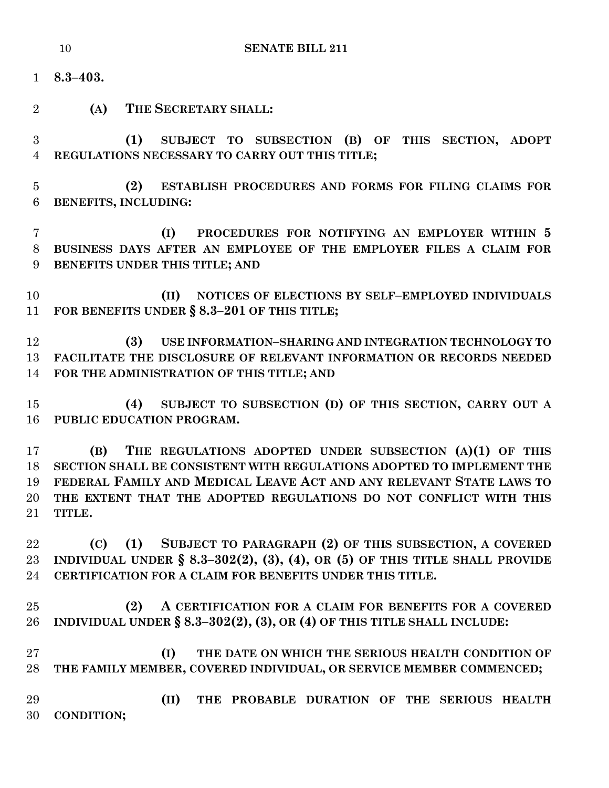- **8.3–403.**
- **(A) THE SECRETARY SHALL:**
- **(1) SUBJECT TO SUBSECTION (B) OF THIS SECTION, ADOPT REGULATIONS NECESSARY TO CARRY OUT THIS TITLE;**
- **(2) ESTABLISH PROCEDURES AND FORMS FOR FILING CLAIMS FOR BENEFITS, INCLUDING:**
- **(I) PROCEDURES FOR NOTIFYING AN EMPLOYER WITHIN 5 BUSINESS DAYS AFTER AN EMPLOYEE OF THE EMPLOYER FILES A CLAIM FOR BENEFITS UNDER THIS TITLE; AND**
- **(II) NOTICES OF ELECTIONS BY SELF–EMPLOYED INDIVIDUALS FOR BENEFITS UNDER § 8.3–201 OF THIS TITLE;**
- **(3) USE INFORMATION–SHARING AND INTEGRATION TECHNOLOGY TO FACILITATE THE DISCLOSURE OF RELEVANT INFORMATION OR RECORDS NEEDED FOR THE ADMINISTRATION OF THIS TITLE; AND**
- **(4) SUBJECT TO SUBSECTION (D) OF THIS SECTION, CARRY OUT A PUBLIC EDUCATION PROGRAM.**
- **(B) THE REGULATIONS ADOPTED UNDER SUBSECTION (A)(1) OF THIS SECTION SHALL BE CONSISTENT WITH REGULATIONS ADOPTED TO IMPLEMENT THE FEDERAL FAMILY AND MEDICAL LEAVE ACT AND ANY RELEVANT STATE LAWS TO THE EXTENT THAT THE ADOPTED REGULATIONS DO NOT CONFLICT WITH THIS TITLE.**
- **(C) (1) SUBJECT TO PARAGRAPH (2) OF THIS SUBSECTION, A COVERED INDIVIDUAL UNDER § 8.3–302(2), (3), (4), OR (5) OF THIS TITLE SHALL PROVIDE CERTIFICATION FOR A CLAIM FOR BENEFITS UNDER THIS TITLE.**
- **(2) A CERTIFICATION FOR A CLAIM FOR BENEFITS FOR A COVERED INDIVIDUAL UNDER § 8.3–302(2), (3), OR (4) OF THIS TITLE SHALL INCLUDE:**
- **(I) THE DATE ON WHICH THE SERIOUS HEALTH CONDITION OF THE FAMILY MEMBER, COVERED INDIVIDUAL, OR SERVICE MEMBER COMMENCED;**
- **(II) THE PROBABLE DURATION OF THE SERIOUS HEALTH CONDITION;**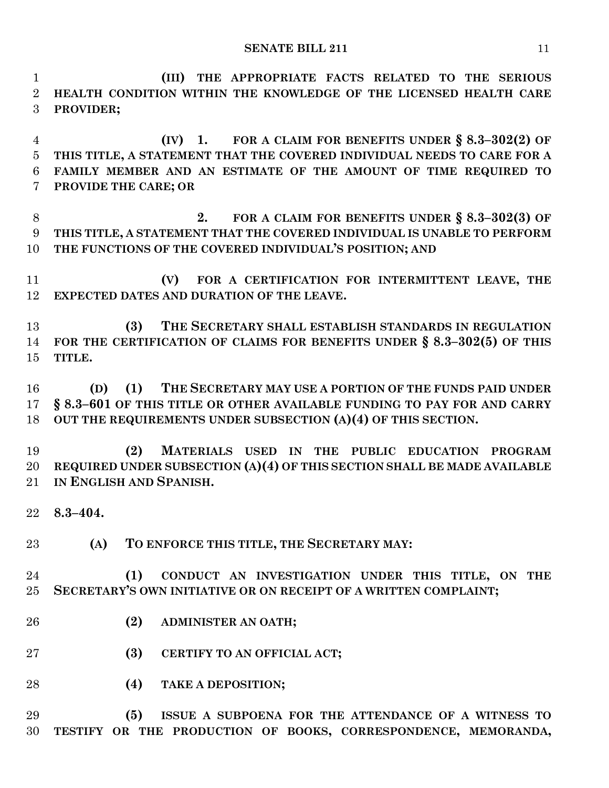**(III) THE APPROPRIATE FACTS RELATED TO THE SERIOUS HEALTH CONDITION WITHIN THE KNOWLEDGE OF THE LICENSED HEALTH CARE PROVIDER;**

 **(IV) 1. FOR A CLAIM FOR BENEFITS UNDER § 8.3–302(2) OF THIS TITLE, A STATEMENT THAT THE COVERED INDIVIDUAL NEEDS TO CARE FOR A FAMILY MEMBER AND AN ESTIMATE OF THE AMOUNT OF TIME REQUIRED TO PROVIDE THE CARE; OR**

 **2. FOR A CLAIM FOR BENEFITS UNDER § 8.3–302(3) OF THIS TITLE, A STATEMENT THAT THE COVERED INDIVIDUAL IS UNABLE TO PERFORM THE FUNCTIONS OF THE COVERED INDIVIDUAL'S POSITION; AND**

 **(V) FOR A CERTIFICATION FOR INTERMITTENT LEAVE, THE EXPECTED DATES AND DURATION OF THE LEAVE.**

 **(3) THE SECRETARY SHALL ESTABLISH STANDARDS IN REGULATION FOR THE CERTIFICATION OF CLAIMS FOR BENEFITS UNDER § 8.3–302(5) OF THIS TITLE.**

 **(D) (1) THE SECRETARY MAY USE A PORTION OF THE FUNDS PAID UNDER § 8.3–601 OF THIS TITLE OR OTHER AVAILABLE FUNDING TO PAY FOR AND CARRY OUT THE REQUIREMENTS UNDER SUBSECTION (A)(4) OF THIS SECTION.**

 **(2) MATERIALS USED IN THE PUBLIC EDUCATION PROGRAM REQUIRED UNDER SUBSECTION (A)(4) OF THIS SECTION SHALL BE MADE AVAILABLE IN ENGLISH AND SPANISH.**

**8.3–404.**

**(A) TO ENFORCE THIS TITLE, THE SECRETARY MAY:**

 **(1) CONDUCT AN INVESTIGATION UNDER THIS TITLE, ON THE SECRETARY'S OWN INITIATIVE OR ON RECEIPT OF A WRITTEN COMPLAINT;**

- **(2) ADMINISTER AN OATH;**
- **(3) CERTIFY TO AN OFFICIAL ACT;**
- **(4) TAKE A DEPOSITION;**

 **(5) ISSUE A SUBPOENA FOR THE ATTENDANCE OF A WITNESS TO TESTIFY OR THE PRODUCTION OF BOOKS, CORRESPONDENCE, MEMORANDA,**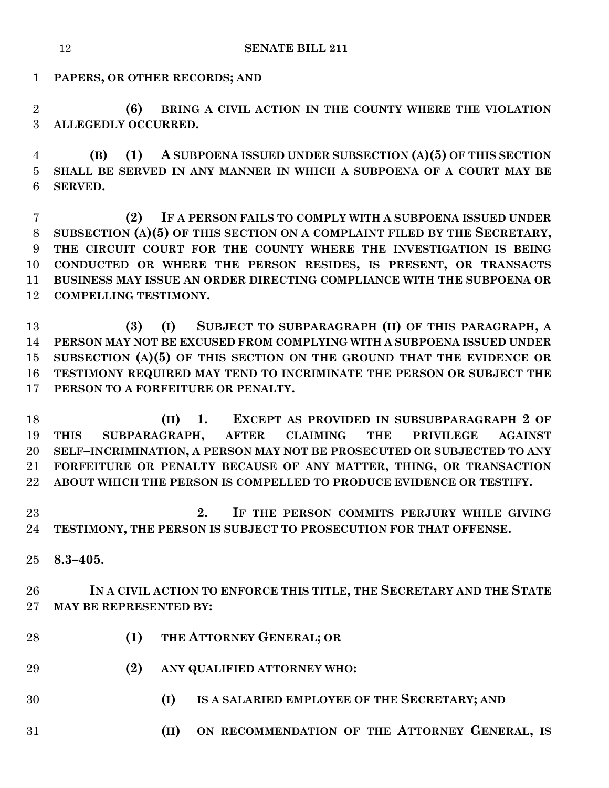**PAPERS, OR OTHER RECORDS; AND**

 **(6) BRING A CIVIL ACTION IN THE COUNTY WHERE THE VIOLATION ALLEGEDLY OCCURRED.**

 **(B) (1) A SUBPOENA ISSUED UNDER SUBSECTION (A)(5) OF THIS SECTION SHALL BE SERVED IN ANY MANNER IN WHICH A SUBPOENA OF A COURT MAY BE SERVED.**

 **(2) IF A PERSON FAILS TO COMPLY WITH A SUBPOENA ISSUED UNDER SUBSECTION (A)(5) OF THIS SECTION ON A COMPLAINT FILED BY THE SECRETARY, THE CIRCUIT COURT FOR THE COUNTY WHERE THE INVESTIGATION IS BEING CONDUCTED OR WHERE THE PERSON RESIDES, IS PRESENT, OR TRANSACTS BUSINESS MAY ISSUE AN ORDER DIRECTING COMPLIANCE WITH THE SUBPOENA OR COMPELLING TESTIMONY.**

 **(3) (I) SUBJECT TO SUBPARAGRAPH (II) OF THIS PARAGRAPH, A PERSON MAY NOT BE EXCUSED FROM COMPLYING WITH A SUBPOENA ISSUED UNDER SUBSECTION (A)(5) OF THIS SECTION ON THE GROUND THAT THE EVIDENCE OR TESTIMONY REQUIRED MAY TEND TO INCRIMINATE THE PERSON OR SUBJECT THE PERSON TO A FORFEITURE OR PENALTY.**

 **(II) 1. EXCEPT AS PROVIDED IN SUBSUBPARAGRAPH 2 OF THIS SUBPARAGRAPH, AFTER CLAIMING THE PRIVILEGE AGAINST SELF–INCRIMINATION, A PERSON MAY NOT BE PROSECUTED OR SUBJECTED TO ANY FORFEITURE OR PENALTY BECAUSE OF ANY MATTER, THING, OR TRANSACTION ABOUT WHICH THE PERSON IS COMPELLED TO PRODUCE EVIDENCE OR TESTIFY.**

 **2. IF THE PERSON COMMITS PERJURY WHILE GIVING TESTIMONY, THE PERSON IS SUBJECT TO PROSECUTION FOR THAT OFFENSE.**

**8.3–405.**

 **IN A CIVIL ACTION TO ENFORCE THIS TITLE, THE SECRETARY AND THE STATE MAY BE REPRESENTED BY:**

- **(1) THE ATTORNEY GENERAL; OR**
- **(2) ANY QUALIFIED ATTORNEY WHO:**
- 
- **(I) IS A SALARIED EMPLOYEE OF THE SECRETARY; AND**
- **(II) ON RECOMMENDATION OF THE ATTORNEY GENERAL, IS**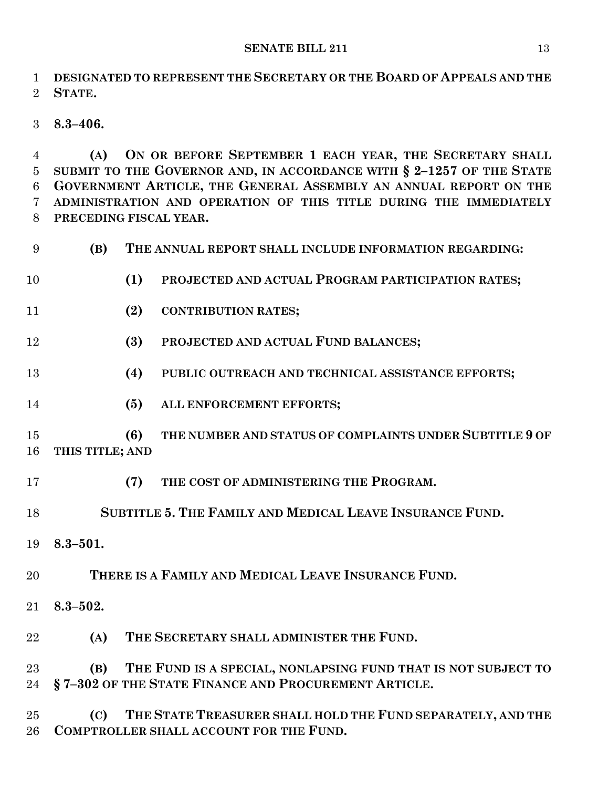**DESIGNATED TO REPRESENT THE SECRETARY OR THE BOARD OF APPEALS AND THE STATE.**

**8.3–406.**

 **(A) ON OR BEFORE SEPTEMBER 1 EACH YEAR, THE SECRETARY SHALL SUBMIT TO THE GOVERNOR AND, IN ACCORDANCE WITH § 2–1257 OF THE STATE GOVERNMENT ARTICLE, THE GENERAL ASSEMBLY AN ANNUAL REPORT ON THE ADMINISTRATION AND OPERATION OF THIS TITLE DURING THE IMMEDIATELY PRECEDING FISCAL YEAR.**

 **(B) THE ANNUAL REPORT SHALL INCLUDE INFORMATION REGARDING: (1) PROJECTED AND ACTUAL PROGRAM PARTICIPATION RATES; (2) CONTRIBUTION RATES; (3) PROJECTED AND ACTUAL FUND BALANCES; (4) PUBLIC OUTREACH AND TECHNICAL ASSISTANCE EFFORTS; (5) ALL ENFORCEMENT EFFORTS; (6) THE NUMBER AND STATUS OF COMPLAINTS UNDER SUBTITLE 9 OF THIS TITLE; AND (7) THE COST OF ADMINISTERING THE PROGRAM. SUBTITLE 5. THE FAMILY AND MEDICAL LEAVE INSURANCE FUND. 8.3–501. THERE IS A FAMILY AND MEDICAL LEAVE INSURANCE FUND. 8.3–502. (A) THE SECRETARY SHALL ADMINISTER THE FUND. (B) THE FUND IS A SPECIAL, NONLAPSING FUND THAT IS NOT SUBJECT TO § 7–302 OF THE STATE FINANCE AND PROCUREMENT ARTICLE. (C) THE STATE TREASURER SHALL HOLD THE FUND SEPARATELY, AND THE COMPTROLLER SHALL ACCOUNT FOR THE FUND.**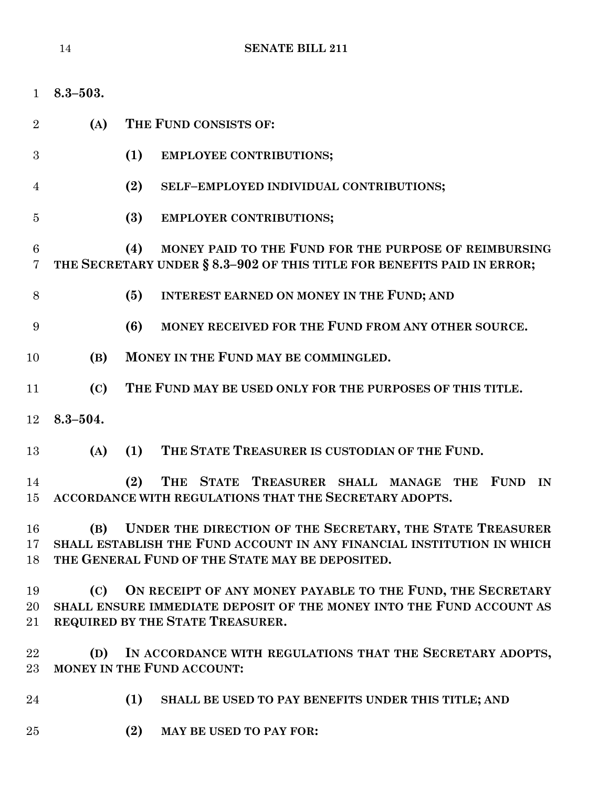| $\mathbf{1}$                      | $8.3 - 503.$                                                                                                              |                                                                                                                                                                        |  |  |  |  |  |  |
|-----------------------------------|---------------------------------------------------------------------------------------------------------------------------|------------------------------------------------------------------------------------------------------------------------------------------------------------------------|--|--|--|--|--|--|
| $\overline{2}$                    | (A)                                                                                                                       | THE FUND CONSISTS OF:                                                                                                                                                  |  |  |  |  |  |  |
| 3                                 |                                                                                                                           | (1)<br><b>EMPLOYEE CONTRIBUTIONS;</b>                                                                                                                                  |  |  |  |  |  |  |
| 4                                 |                                                                                                                           | (2)<br>SELF-EMPLOYED INDIVIDUAL CONTRIBUTIONS;                                                                                                                         |  |  |  |  |  |  |
| 5                                 |                                                                                                                           | (3)<br>EMPLOYER CONTRIBUTIONS;                                                                                                                                         |  |  |  |  |  |  |
| $6\phantom{.}6$<br>$\overline{7}$ |                                                                                                                           | MONEY PAID TO THE FUND FOR THE PURPOSE OF REIMBURSING<br>(4)<br>THE SECRETARY UNDER § 8.3-902 OF THIS TITLE FOR BENEFITS PAID IN ERROR;                                |  |  |  |  |  |  |
| 8                                 |                                                                                                                           | <b>INTEREST EARNED ON MONEY IN THE FUND; AND</b><br>(5)                                                                                                                |  |  |  |  |  |  |
| 9                                 |                                                                                                                           | (6)<br>MONEY RECEIVED FOR THE FUND FROM ANY OTHER SOURCE.                                                                                                              |  |  |  |  |  |  |
| 10                                | (B)                                                                                                                       | MONEY IN THE FUND MAY BE COMMINGLED.                                                                                                                                   |  |  |  |  |  |  |
| 11                                | (C)                                                                                                                       | THE FUND MAY BE USED ONLY FOR THE PURPOSES OF THIS TITLE.                                                                                                              |  |  |  |  |  |  |
| 12                                | $8.3 - 504.$                                                                                                              |                                                                                                                                                                        |  |  |  |  |  |  |
| 13                                | (A)                                                                                                                       | THE STATE TREASURER IS CUSTODIAN OF THE FUND.<br>(1)                                                                                                                   |  |  |  |  |  |  |
| 14<br>15                          |                                                                                                                           | (2)<br><b>THE</b><br><b>STATE</b><br>TREASURER SHALL<br><b>FUND</b><br>IN<br><b>MANAGE</b><br><b>THE</b><br>ACCORDANCE WITH REGULATIONS THAT THE SECRETARY ADOPTS.     |  |  |  |  |  |  |
| 16                                | (B)                                                                                                                       | UNDER THE DIRECTION OF THE SECRETARY, THE STATE TREASURER                                                                                                              |  |  |  |  |  |  |
| $17\,$<br>18                      | SHALL ESTABLISH THE FUND ACCOUNT IN ANY FINANCIAL INSTITUTION IN WHICH<br>THE GENERAL FUND OF THE STATE MAY BE DEPOSITED. |                                                                                                                                                                        |  |  |  |  |  |  |
| 19<br>20<br>21                    | (C)                                                                                                                       | ON RECEIPT OF ANY MONEY PAYABLE TO THE FUND, THE SECRETARY<br>SHALL ENSURE IMMEDIATE DEPOSIT OF THE MONEY INTO THE FUND ACCOUNT AS<br>REQUIRED BY THE STATE TREASURER. |  |  |  |  |  |  |
| 22<br>23                          | (D)                                                                                                                       | IN ACCORDANCE WITH REGULATIONS THAT THE SECRETARY ADOPTS,<br><b>MONEY IN THE FUND ACCOUNT:</b>                                                                         |  |  |  |  |  |  |
| 24                                |                                                                                                                           | (1)<br>SHALL BE USED TO PAY BENEFITS UNDER THIS TITLE; AND                                                                                                             |  |  |  |  |  |  |
| 25                                |                                                                                                                           | (2)<br>MAY BE USED TO PAY FOR:                                                                                                                                         |  |  |  |  |  |  |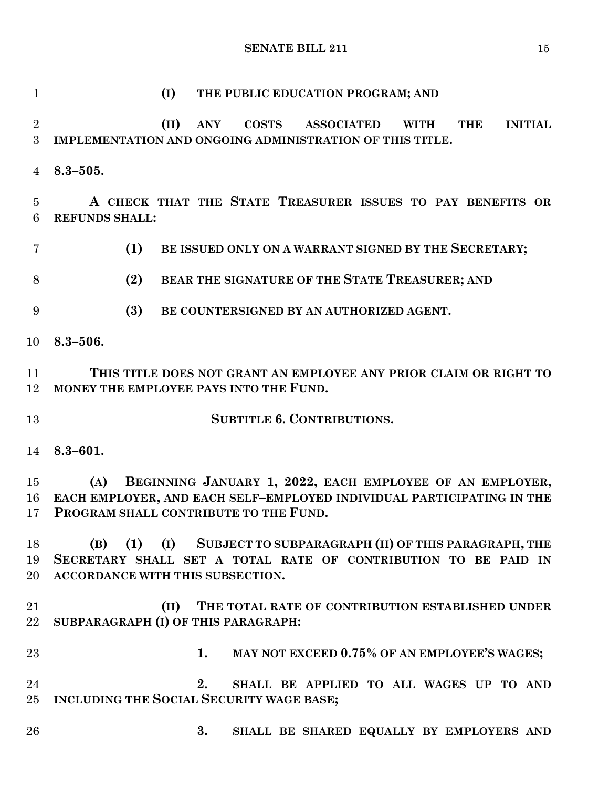**(I) THE PUBLIC EDUCATION PROGRAM; AND (II) ANY COSTS ASSOCIATED WITH THE INITIAL IMPLEMENTATION AND ONGOING ADMINISTRATION OF THIS TITLE. 8.3–505. A CHECK THAT THE STATE TREASURER ISSUES TO PAY BENEFITS OR REFUNDS SHALL: (1) BE ISSUED ONLY ON A WARRANT SIGNED BY THE SECRETARY; (2) BEAR THE SIGNATURE OF THE STATE TREASURER; AND (3) BE COUNTERSIGNED BY AN AUTHORIZED AGENT. 8.3–506. THIS TITLE DOES NOT GRANT AN EMPLOYEE ANY PRIOR CLAIM OR RIGHT TO MONEY THE EMPLOYEE PAYS INTO THE FUND. SUBTITLE 6. CONTRIBUTIONS. 8.3–601. (A) BEGINNING JANUARY 1, 2022, EACH EMPLOYEE OF AN EMPLOYER, EACH EMPLOYER, AND EACH SELF–EMPLOYED INDIVIDUAL PARTICIPATING IN THE PROGRAM SHALL CONTRIBUTE TO THE FUND. (B) (1) (I) SUBJECT TO SUBPARAGRAPH (II) OF THIS PARAGRAPH, THE SECRETARY SHALL SET A TOTAL RATE OF CONTRIBUTION TO BE PAID IN ACCORDANCE WITH THIS SUBSECTION. (II) THE TOTAL RATE OF CONTRIBUTION ESTABLISHED UNDER SUBPARAGRAPH (I) OF THIS PARAGRAPH: 1. MAY NOT EXCEED 0.75% OF AN EMPLOYEE'S WAGES; 2. SHALL BE APPLIED TO ALL WAGES UP TO AND INCLUDING THE SOCIAL SECURITY WAGE BASE; 3. SHALL BE SHARED EQUALLY BY EMPLOYERS AND**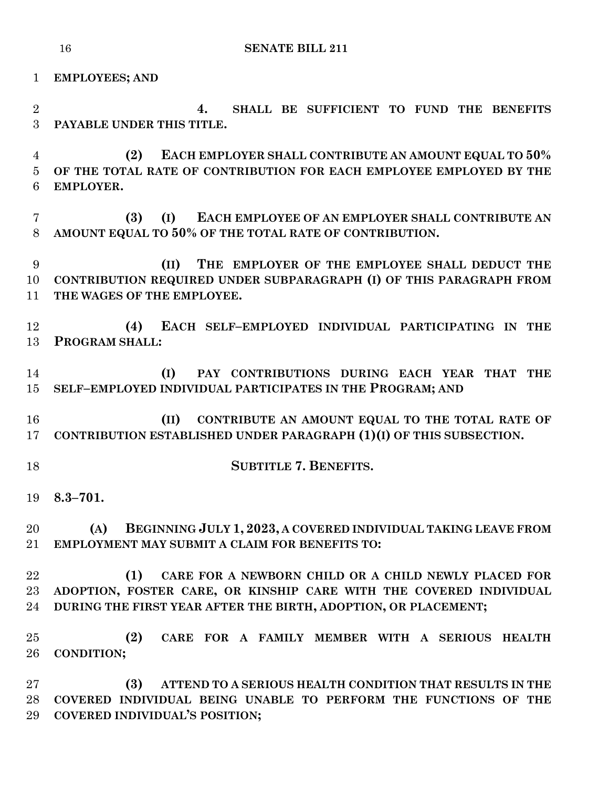**EMPLOYEES; AND 4. SHALL BE SUFFICIENT TO FUND THE BENEFITS PAYABLE UNDER THIS TITLE. (2) EACH EMPLOYER SHALL CONTRIBUTE AN AMOUNT EQUAL TO 50% OF THE TOTAL RATE OF CONTRIBUTION FOR EACH EMPLOYEE EMPLOYED BY THE EMPLOYER. (3) (I) EACH EMPLOYEE OF AN EMPLOYER SHALL CONTRIBUTE AN AMOUNT EQUAL TO 50% OF THE TOTAL RATE OF CONTRIBUTION. (II) THE EMPLOYER OF THE EMPLOYEE SHALL DEDUCT THE CONTRIBUTION REQUIRED UNDER SUBPARAGRAPH (I) OF THIS PARAGRAPH FROM THE WAGES OF THE EMPLOYEE. (4) EACH SELF–EMPLOYED INDIVIDUAL PARTICIPATING IN THE PROGRAM SHALL: (I) PAY CONTRIBUTIONS DURING EACH YEAR THAT THE SELF–EMPLOYED INDIVIDUAL PARTICIPATES IN THE PROGRAM; AND (II) CONTRIBUTE AN AMOUNT EQUAL TO THE TOTAL RATE OF CONTRIBUTION ESTABLISHED UNDER PARAGRAPH (1)(I) OF THIS SUBSECTION. SUBTITLE 7. BENEFITS. 8.3–701. (A) BEGINNING JULY 1, 2023, A COVERED INDIVIDUAL TAKING LEAVE FROM EMPLOYMENT MAY SUBMIT A CLAIM FOR BENEFITS TO: (1) CARE FOR A NEWBORN CHILD OR A CHILD NEWLY PLACED FOR ADOPTION, FOSTER CARE, OR KINSHIP CARE WITH THE COVERED INDIVIDUAL DURING THE FIRST YEAR AFTER THE BIRTH, ADOPTION, OR PLACEMENT; (2) CARE FOR A FAMILY MEMBER WITH A SERIOUS HEALTH CONDITION; (3) ATTEND TO A SERIOUS HEALTH CONDITION THAT RESULTS IN THE COVERED INDIVIDUAL BEING UNABLE TO PERFORM THE FUNCTIONS OF THE COVERED INDIVIDUAL'S POSITION;**

**SENATE BILL 211**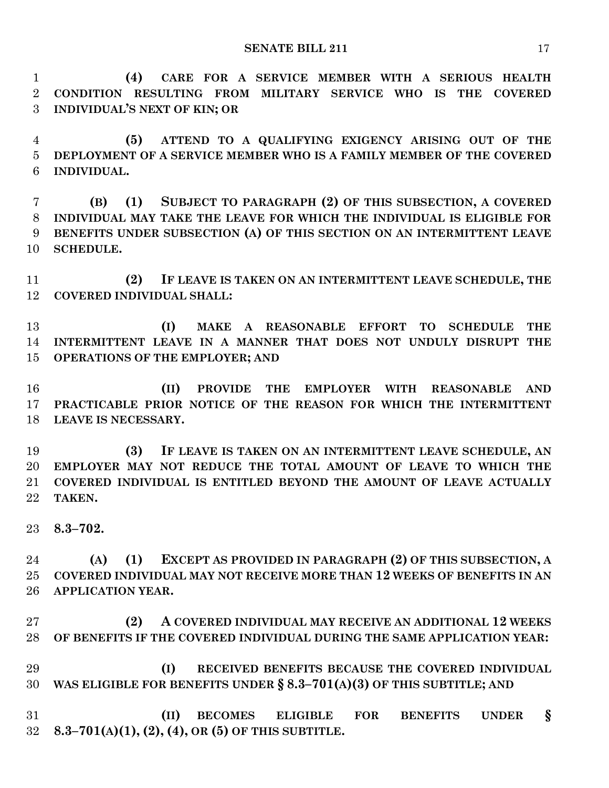**(4) CARE FOR A SERVICE MEMBER WITH A SERIOUS HEALTH CONDITION RESULTING FROM MILITARY SERVICE WHO IS THE COVERED INDIVIDUAL'S NEXT OF KIN; OR**

 **(5) ATTEND TO A QUALIFYING EXIGENCY ARISING OUT OF THE DEPLOYMENT OF A SERVICE MEMBER WHO IS A FAMILY MEMBER OF THE COVERED INDIVIDUAL.**

 **(B) (1) SUBJECT TO PARAGRAPH (2) OF THIS SUBSECTION, A COVERED INDIVIDUAL MAY TAKE THE LEAVE FOR WHICH THE INDIVIDUAL IS ELIGIBLE FOR BENEFITS UNDER SUBSECTION (A) OF THIS SECTION ON AN INTERMITTENT LEAVE SCHEDULE.**

 **(2) IF LEAVE IS TAKEN ON AN INTERMITTENT LEAVE SCHEDULE, THE COVERED INDIVIDUAL SHALL:**

 **(I) MAKE A REASONABLE EFFORT TO SCHEDULE THE INTERMITTENT LEAVE IN A MANNER THAT DOES NOT UNDULY DISRUPT THE OPERATIONS OF THE EMPLOYER; AND**

 **(II) PROVIDE THE EMPLOYER WITH REASONABLE AND PRACTICABLE PRIOR NOTICE OF THE REASON FOR WHICH THE INTERMITTENT LEAVE IS NECESSARY.**

 **(3) IF LEAVE IS TAKEN ON AN INTERMITTENT LEAVE SCHEDULE, AN EMPLOYER MAY NOT REDUCE THE TOTAL AMOUNT OF LEAVE TO WHICH THE COVERED INDIVIDUAL IS ENTITLED BEYOND THE AMOUNT OF LEAVE ACTUALLY TAKEN.**

**8.3–702.**

 **(A) (1) EXCEPT AS PROVIDED IN PARAGRAPH (2) OF THIS SUBSECTION, A COVERED INDIVIDUAL MAY NOT RECEIVE MORE THAN 12 WEEKS OF BENEFITS IN AN APPLICATION YEAR.**

 **(2) A COVERED INDIVIDUAL MAY RECEIVE AN ADDITIONAL 12 WEEKS OF BENEFITS IF THE COVERED INDIVIDUAL DURING THE SAME APPLICATION YEAR:**

 **(I) RECEIVED BENEFITS BECAUSE THE COVERED INDIVIDUAL WAS ELIGIBLE FOR BENEFITS UNDER § 8.3–701(A)(3) OF THIS SUBTITLE; AND**

 **(II) BECOMES ELIGIBLE FOR BENEFITS UNDER § 8.3–701(A)(1), (2), (4), OR (5) OF THIS SUBTITLE.**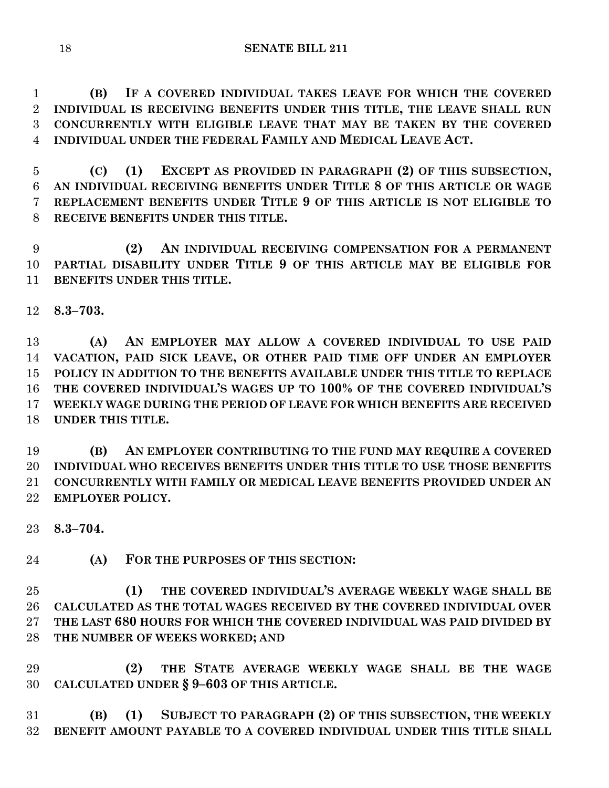**(B) IF A COVERED INDIVIDUAL TAKES LEAVE FOR WHICH THE COVERED INDIVIDUAL IS RECEIVING BENEFITS UNDER THIS TITLE, THE LEAVE SHALL RUN CONCURRENTLY WITH ELIGIBLE LEAVE THAT MAY BE TAKEN BY THE COVERED INDIVIDUAL UNDER THE FEDERAL FAMILY AND MEDICAL LEAVE ACT.**

 **(C) (1) EXCEPT AS PROVIDED IN PARAGRAPH (2) OF THIS SUBSECTION, AN INDIVIDUAL RECEIVING BENEFITS UNDER TITLE 8 OF THIS ARTICLE OR WAGE REPLACEMENT BENEFITS UNDER TITLE 9 OF THIS ARTICLE IS NOT ELIGIBLE TO RECEIVE BENEFITS UNDER THIS TITLE.**

 **(2) AN INDIVIDUAL RECEIVING COMPENSATION FOR A PERMANENT PARTIAL DISABILITY UNDER TITLE 9 OF THIS ARTICLE MAY BE ELIGIBLE FOR BENEFITS UNDER THIS TITLE.**

**8.3–703.**

 **(A) AN EMPLOYER MAY ALLOW A COVERED INDIVIDUAL TO USE PAID VACATION, PAID SICK LEAVE, OR OTHER PAID TIME OFF UNDER AN EMPLOYER POLICY IN ADDITION TO THE BENEFITS AVAILABLE UNDER THIS TITLE TO REPLACE THE COVERED INDIVIDUAL'S WAGES UP TO 100% OF THE COVERED INDIVIDUAL'S WEEKLY WAGE DURING THE PERIOD OF LEAVE FOR WHICH BENEFITS ARE RECEIVED UNDER THIS TITLE.**

 **(B) AN EMPLOYER CONTRIBUTING TO THE FUND MAY REQUIRE A COVERED INDIVIDUAL WHO RECEIVES BENEFITS UNDER THIS TITLE TO USE THOSE BENEFITS CONCURRENTLY WITH FAMILY OR MEDICAL LEAVE BENEFITS PROVIDED UNDER AN EMPLOYER POLICY.**

**8.3–704.**

**(A) FOR THE PURPOSES OF THIS SECTION:**

 **(1) THE COVERED INDIVIDUAL'S AVERAGE WEEKLY WAGE SHALL BE CALCULATED AS THE TOTAL WAGES RECEIVED BY THE COVERED INDIVIDUAL OVER THE LAST 680 HOURS FOR WHICH THE COVERED INDIVIDUAL WAS PAID DIVIDED BY THE NUMBER OF WEEKS WORKED; AND**

 **(2) THE STATE AVERAGE WEEKLY WAGE SHALL BE THE WAGE CALCULATED UNDER § 9–603 OF THIS ARTICLE.**

 **(B) (1) SUBJECT TO PARAGRAPH (2) OF THIS SUBSECTION, THE WEEKLY BENEFIT AMOUNT PAYABLE TO A COVERED INDIVIDUAL UNDER THIS TITLE SHALL**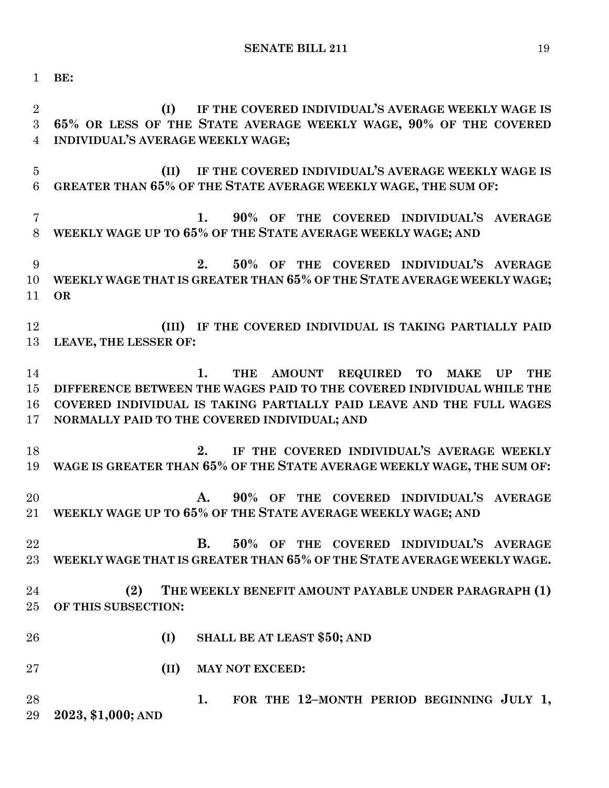**BE:**

 **(I) IF THE COVERED INDIVIDUAL'S AVERAGE WEEKLY WAGE IS 65% OR LESS OF THE STATE AVERAGE WEEKLY WAGE, 90% OF THE COVERED INDIVIDUAL'S AVERAGE WEEKLY WAGE; (II) IF THE COVERED INDIVIDUAL'S AVERAGE WEEKLY WAGE IS GREATER THAN 65% OF THE STATE AVERAGE WEEKLY WAGE, THE SUM OF: 1. 90% OF THE COVERED INDIVIDUAL'S AVERAGE WEEKLY WAGE UP TO 65% OF THE STATE AVERAGE WEEKLY WAGE; AND 2. 50% OF THE COVERED INDIVIDUAL'S AVERAGE WEEKLY WAGE THAT IS GREATER THAN 65% OF THE STATE AVERAGE WEEKLY WAGE; OR (III) IF THE COVERED INDIVIDUAL IS TAKING PARTIALLY PAID LEAVE, THE LESSER OF: 1. THE AMOUNT REQUIRED TO MAKE UP THE DIFFERENCE BETWEEN THE WAGES PAID TO THE COVERED INDIVIDUAL WHILE THE COVERED INDIVIDUAL IS TAKING PARTIALLY PAID LEAVE AND THE FULL WAGES NORMALLY PAID TO THE COVERED INDIVIDUAL; AND 2. IF THE COVERED INDIVIDUAL'S AVERAGE WEEKLY WAGE IS GREATER THAN 65% OF THE STATE AVERAGE WEEKLY WAGE, THE SUM OF: A. 90% OF THE COVERED INDIVIDUAL'S AVERAGE WEEKLY WAGE UP TO 65% OF THE STATE AVERAGE WEEKLY WAGE; AND B. 50% OF THE COVERED INDIVIDUAL'S AVERAGE WEEKLY WAGE THAT IS GREATER THAN 65% OF THE STATE AVERAGE WEEKLY WAGE. (2) THE WEEKLY BENEFIT AMOUNT PAYABLE UNDER PARAGRAPH (1) OF THIS SUBSECTION: (I) SHALL BE AT LEAST \$50; AND (II) MAY NOT EXCEED: 1. FOR THE 12–MONTH PERIOD BEGINNING JULY 1, 2023, \$1,000; AND**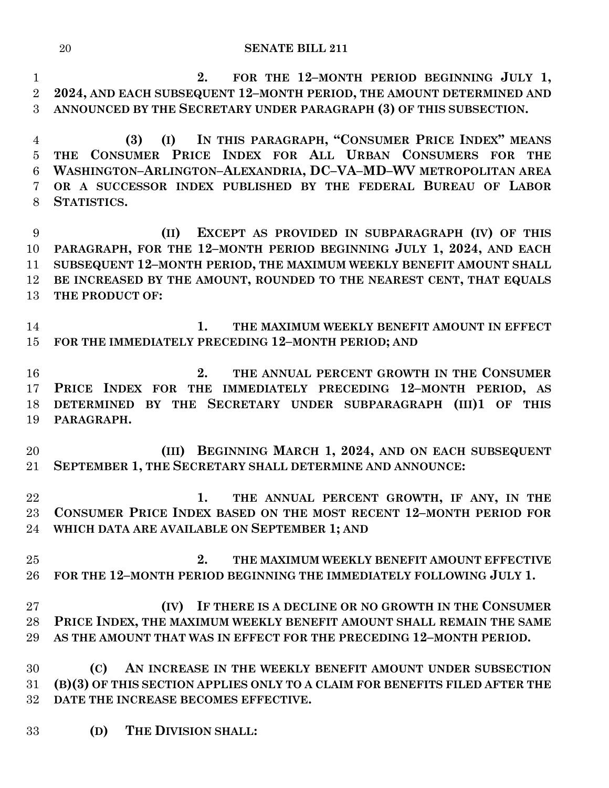### **SENATE BILL 211**

 **2. FOR THE 12–MONTH PERIOD BEGINNING JULY 1, 2024, AND EACH SUBSEQUENT 12–MONTH PERIOD, THE AMOUNT DETERMINED AND ANNOUNCED BY THE SECRETARY UNDER PARAGRAPH (3) OF THIS SUBSECTION.**

 **(3) (I) IN THIS PARAGRAPH, "CONSUMER PRICE INDEX" MEANS THE CONSUMER PRICE INDEX FOR ALL URBAN CONSUMERS FOR THE WASHINGTON–ARLINGTON–ALEXANDRIA, DC–VA–MD–WV METROPOLITAN AREA OR A SUCCESSOR INDEX PUBLISHED BY THE FEDERAL BUREAU OF LABOR STATISTICS.**

 **(II) EXCEPT AS PROVIDED IN SUBPARAGRAPH (IV) OF THIS PARAGRAPH, FOR THE 12–MONTH PERIOD BEGINNING JULY 1, 2024, AND EACH SUBSEQUENT 12–MONTH PERIOD, THE MAXIMUM WEEKLY BENEFIT AMOUNT SHALL BE INCREASED BY THE AMOUNT, ROUNDED TO THE NEAREST CENT, THAT EQUALS THE PRODUCT OF:**

 **1. THE MAXIMUM WEEKLY BENEFIT AMOUNT IN EFFECT FOR THE IMMEDIATELY PRECEDING 12–MONTH PERIOD; AND**

 **2. THE ANNUAL PERCENT GROWTH IN THE CONSUMER PRICE INDEX FOR THE IMMEDIATELY PRECEDING 12–MONTH PERIOD, AS DETERMINED BY THE SECRETARY UNDER SUBPARAGRAPH (III)1 OF THIS PARAGRAPH.**

 **(III) BEGINNING MARCH 1, 2024, AND ON EACH SUBSEQUENT SEPTEMBER 1, THE SECRETARY SHALL DETERMINE AND ANNOUNCE:**

 **1. THE ANNUAL PERCENT GROWTH, IF ANY, IN THE CONSUMER PRICE INDEX BASED ON THE MOST RECENT 12–MONTH PERIOD FOR WHICH DATA ARE AVAILABLE ON SEPTEMBER 1; AND**

 **2. THE MAXIMUM WEEKLY BENEFIT AMOUNT EFFECTIVE FOR THE 12–MONTH PERIOD BEGINNING THE IMMEDIATELY FOLLOWING JULY 1.**

 **(IV) IF THERE IS A DECLINE OR NO GROWTH IN THE CONSUMER PRICE INDEX, THE MAXIMUM WEEKLY BENEFIT AMOUNT SHALL REMAIN THE SAME AS THE AMOUNT THAT WAS IN EFFECT FOR THE PRECEDING 12–MONTH PERIOD.**

 **(C) AN INCREASE IN THE WEEKLY BENEFIT AMOUNT UNDER SUBSECTION (B)(3) OF THIS SECTION APPLIES ONLY TO A CLAIM FOR BENEFITS FILED AFTER THE DATE THE INCREASE BECOMES EFFECTIVE.**

**(D) THE DIVISION SHALL:**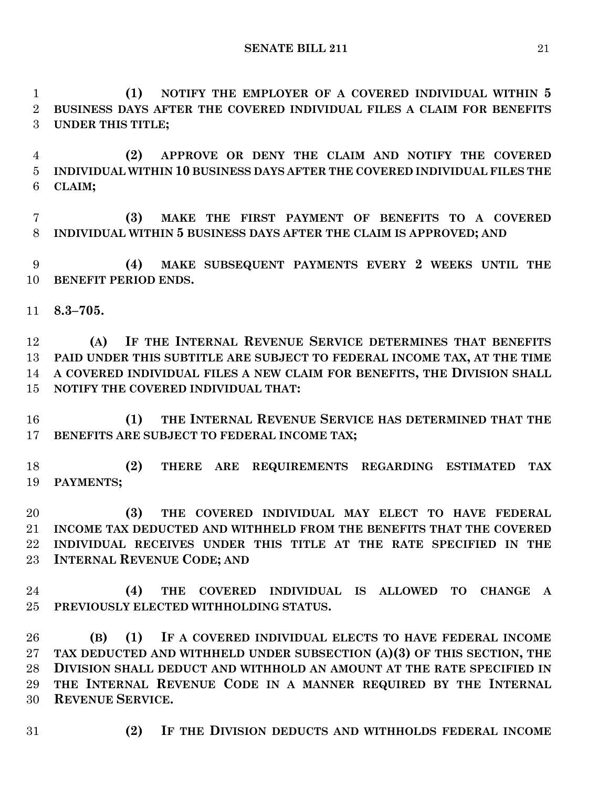**(1) NOTIFY THE EMPLOYER OF A COVERED INDIVIDUAL WITHIN 5 BUSINESS DAYS AFTER THE COVERED INDIVIDUAL FILES A CLAIM FOR BENEFITS UNDER THIS TITLE;**

 **(2) APPROVE OR DENY THE CLAIM AND NOTIFY THE COVERED INDIVIDUAL WITHIN 10 BUSINESS DAYS AFTER THE COVERED INDIVIDUAL FILES THE CLAIM;**

 **(3) MAKE THE FIRST PAYMENT OF BENEFITS TO A COVERED INDIVIDUAL WITHIN 5 BUSINESS DAYS AFTER THE CLAIM IS APPROVED; AND**

 **(4) MAKE SUBSEQUENT PAYMENTS EVERY 2 WEEKS UNTIL THE BENEFIT PERIOD ENDS.**

**8.3–705.**

 **(A) IF THE INTERNAL REVENUE SERVICE DETERMINES THAT BENEFITS PAID UNDER THIS SUBTITLE ARE SUBJECT TO FEDERAL INCOME TAX, AT THE TIME A COVERED INDIVIDUAL FILES A NEW CLAIM FOR BENEFITS, THE DIVISION SHALL NOTIFY THE COVERED INDIVIDUAL THAT:**

 **(1) THE INTERNAL REVENUE SERVICE HAS DETERMINED THAT THE BENEFITS ARE SUBJECT TO FEDERAL INCOME TAX;**

 **(2) THERE ARE REQUIREMENTS REGARDING ESTIMATED TAX PAYMENTS;**

 **(3) THE COVERED INDIVIDUAL MAY ELECT TO HAVE FEDERAL INCOME TAX DEDUCTED AND WITHHELD FROM THE BENEFITS THAT THE COVERED INDIVIDUAL RECEIVES UNDER THIS TITLE AT THE RATE SPECIFIED IN THE INTERNAL REVENUE CODE; AND**

 **(4) THE COVERED INDIVIDUAL IS ALLOWED TO CHANGE A PREVIOUSLY ELECTED WITHHOLDING STATUS.**

 **(B) (1) IF A COVERED INDIVIDUAL ELECTS TO HAVE FEDERAL INCOME TAX DEDUCTED AND WITHHELD UNDER SUBSECTION (A)(3) OF THIS SECTION, THE DIVISION SHALL DEDUCT AND WITHHOLD AN AMOUNT AT THE RATE SPECIFIED IN THE INTERNAL REVENUE CODE IN A MANNER REQUIRED BY THE INTERNAL REVENUE SERVICE.**

- 
- **(2) IF THE DIVISION DEDUCTS AND WITHHOLDS FEDERAL INCOME**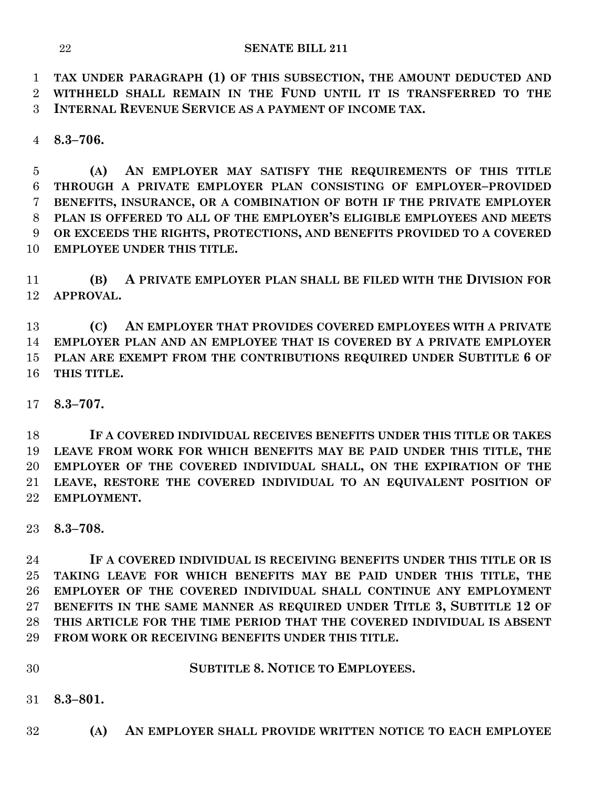**TAX UNDER PARAGRAPH (1) OF THIS SUBSECTION, THE AMOUNT DEDUCTED AND WITHHELD SHALL REMAIN IN THE FUND UNTIL IT IS TRANSFERRED TO THE INTERNAL REVENUE SERVICE AS A PAYMENT OF INCOME TAX.**

**8.3–706.**

 **(A) AN EMPLOYER MAY SATISFY THE REQUIREMENTS OF THIS TITLE THROUGH A PRIVATE EMPLOYER PLAN CONSISTING OF EMPLOYER–PROVIDED BENEFITS, INSURANCE, OR A COMBINATION OF BOTH IF THE PRIVATE EMPLOYER PLAN IS OFFERED TO ALL OF THE EMPLOYER'S ELIGIBLE EMPLOYEES AND MEETS OR EXCEEDS THE RIGHTS, PROTECTIONS, AND BENEFITS PROVIDED TO A COVERED EMPLOYEE UNDER THIS TITLE.**

 **(B) A PRIVATE EMPLOYER PLAN SHALL BE FILED WITH THE DIVISION FOR APPROVAL.**

 **(C) AN EMPLOYER THAT PROVIDES COVERED EMPLOYEES WITH A PRIVATE EMPLOYER PLAN AND AN EMPLOYEE THAT IS COVERED BY A PRIVATE EMPLOYER PLAN ARE EXEMPT FROM THE CONTRIBUTIONS REQUIRED UNDER SUBTITLE 6 OF THIS TITLE.**

**8.3–707.**

 **IF A COVERED INDIVIDUAL RECEIVES BENEFITS UNDER THIS TITLE OR TAKES LEAVE FROM WORK FOR WHICH BENEFITS MAY BE PAID UNDER THIS TITLE, THE EMPLOYER OF THE COVERED INDIVIDUAL SHALL, ON THE EXPIRATION OF THE LEAVE, RESTORE THE COVERED INDIVIDUAL TO AN EQUIVALENT POSITION OF EMPLOYMENT.**

**8.3–708.**

 **IF A COVERED INDIVIDUAL IS RECEIVING BENEFITS UNDER THIS TITLE OR IS TAKING LEAVE FOR WHICH BENEFITS MAY BE PAID UNDER THIS TITLE, THE EMPLOYER OF THE COVERED INDIVIDUAL SHALL CONTINUE ANY EMPLOYMENT BENEFITS IN THE SAME MANNER AS REQUIRED UNDER TITLE 3, SUBTITLE 12 OF THIS ARTICLE FOR THE TIME PERIOD THAT THE COVERED INDIVIDUAL IS ABSENT FROM WORK OR RECEIVING BENEFITS UNDER THIS TITLE.**

**SUBTITLE 8. NOTICE TO EMPLOYEES.**

**8.3–801.**

**(A) AN EMPLOYER SHALL PROVIDE WRITTEN NOTICE TO EACH EMPLOYEE**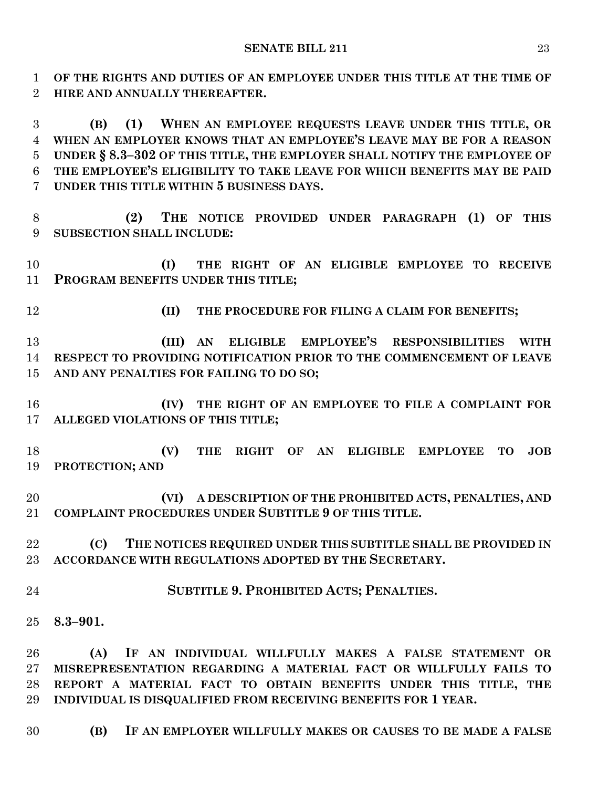**OF THE RIGHTS AND DUTIES OF AN EMPLOYEE UNDER THIS TITLE AT THE TIME OF HIRE AND ANNUALLY THEREAFTER.**

 **(B) (1) WHEN AN EMPLOYEE REQUESTS LEAVE UNDER THIS TITLE, OR WHEN AN EMPLOYER KNOWS THAT AN EMPLOYEE'S LEAVE MAY BE FOR A REASON UNDER § 8.3–302 OF THIS TITLE, THE EMPLOYER SHALL NOTIFY THE EMPLOYEE OF THE EMPLOYEE'S ELIGIBILITY TO TAKE LEAVE FOR WHICH BENEFITS MAY BE PAID UNDER THIS TITLE WITHIN 5 BUSINESS DAYS.**

 **(2) THE NOTICE PROVIDED UNDER PARAGRAPH (1) OF THIS SUBSECTION SHALL INCLUDE:**

 **(I) THE RIGHT OF AN ELIGIBLE EMPLOYEE TO RECEIVE PROGRAM BENEFITS UNDER THIS TITLE;**

**(II) THE PROCEDURE FOR FILING A CLAIM FOR BENEFITS;**

 **(III) AN ELIGIBLE EMPLOYEE'S RESPONSIBILITIES WITH RESPECT TO PROVIDING NOTIFICATION PRIOR TO THE COMMENCEMENT OF LEAVE AND ANY PENALTIES FOR FAILING TO DO SO;**

 **(IV) THE RIGHT OF AN EMPLOYEE TO FILE A COMPLAINT FOR ALLEGED VIOLATIONS OF THIS TITLE;**

 **(V) THE RIGHT OF AN ELIGIBLE EMPLOYEE TO JOB PROTECTION; AND**

 **(VI) A DESCRIPTION OF THE PROHIBITED ACTS, PENALTIES, AND COMPLAINT PROCEDURES UNDER SUBTITLE 9 OF THIS TITLE.**

 **(C) THE NOTICES REQUIRED UNDER THIS SUBTITLE SHALL BE PROVIDED IN ACCORDANCE WITH REGULATIONS ADOPTED BY THE SECRETARY.**

**SUBTITLE 9. PROHIBITED ACTS; PENALTIES.**

**8.3–901.**

 **(A) IF AN INDIVIDUAL WILLFULLY MAKES A FALSE STATEMENT OR MISREPRESENTATION REGARDING A MATERIAL FACT OR WILLFULLY FAILS TO REPORT A MATERIAL FACT TO OBTAIN BENEFITS UNDER THIS TITLE, THE INDIVIDUAL IS DISQUALIFIED FROM RECEIVING BENEFITS FOR 1 YEAR.**

**(B) IF AN EMPLOYER WILLFULLY MAKES OR CAUSES TO BE MADE A FALSE**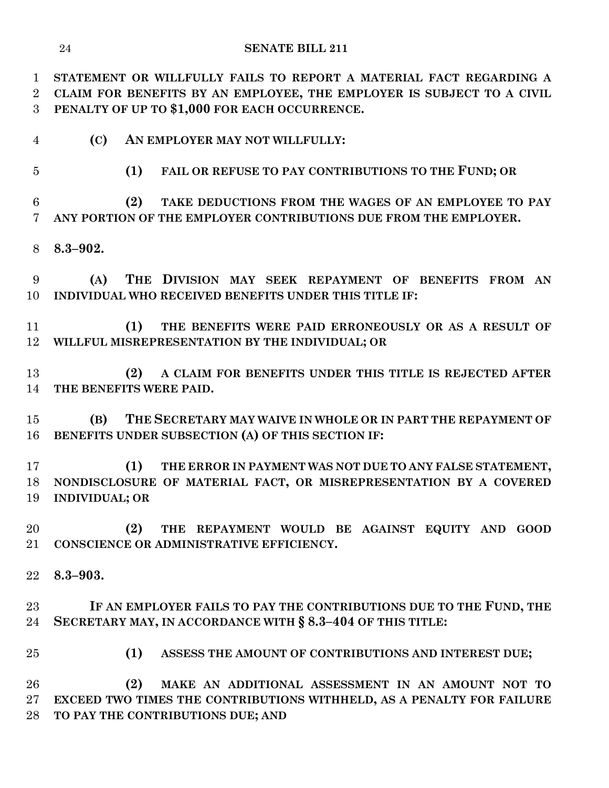**STATEMENT OR WILLFULLY FAILS TO REPORT A MATERIAL FACT REGARDING A CLAIM FOR BENEFITS BY AN EMPLOYEE, THE EMPLOYER IS SUBJECT TO A CIVIL PENALTY OF UP TO \$1,000 FOR EACH OCCURRENCE.**

- **(C) AN EMPLOYER MAY NOT WILLFULLY:**
- 

**(1) FAIL OR REFUSE TO PAY CONTRIBUTIONS TO THE FUND; OR** 

 **(2) TAKE DEDUCTIONS FROM THE WAGES OF AN EMPLOYEE TO PAY ANY PORTION OF THE EMPLOYER CONTRIBUTIONS DUE FROM THE EMPLOYER.**

**8.3–902.**

 **(A) THE DIVISION MAY SEEK REPAYMENT OF BENEFITS FROM AN INDIVIDUAL WHO RECEIVED BENEFITS UNDER THIS TITLE IF:**

 **(1) THE BENEFITS WERE PAID ERRONEOUSLY OR AS A RESULT OF WILLFUL MISREPRESENTATION BY THE INDIVIDUAL; OR**

 **(2) A CLAIM FOR BENEFITS UNDER THIS TITLE IS REJECTED AFTER THE BENEFITS WERE PAID.**

 **(B) THE SECRETARY MAY WAIVE IN WHOLE OR IN PART THE REPAYMENT OF BENEFITS UNDER SUBSECTION (A) OF THIS SECTION IF:**

 **(1) THE ERROR IN PAYMENT WAS NOT DUE TO ANY FALSE STATEMENT, NONDISCLOSURE OF MATERIAL FACT, OR MISREPRESENTATION BY A COVERED INDIVIDUAL; OR**

 **(2) THE REPAYMENT WOULD BE AGAINST EQUITY AND GOOD CONSCIENCE OR ADMINISTRATIVE EFFICIENCY.**

**8.3–903.**

 **IF AN EMPLOYER FAILS TO PAY THE CONTRIBUTIONS DUE TO THE FUND, THE SECRETARY MAY, IN ACCORDANCE WITH § 8.3–404 OF THIS TITLE:**

**(1) ASSESS THE AMOUNT OF CONTRIBUTIONS AND INTEREST DUE;**

 **(2) MAKE AN ADDITIONAL ASSESSMENT IN AN AMOUNT NOT TO EXCEED TWO TIMES THE CONTRIBUTIONS WITHHELD, AS A PENALTY FOR FAILURE TO PAY THE CONTRIBUTIONS DUE; AND**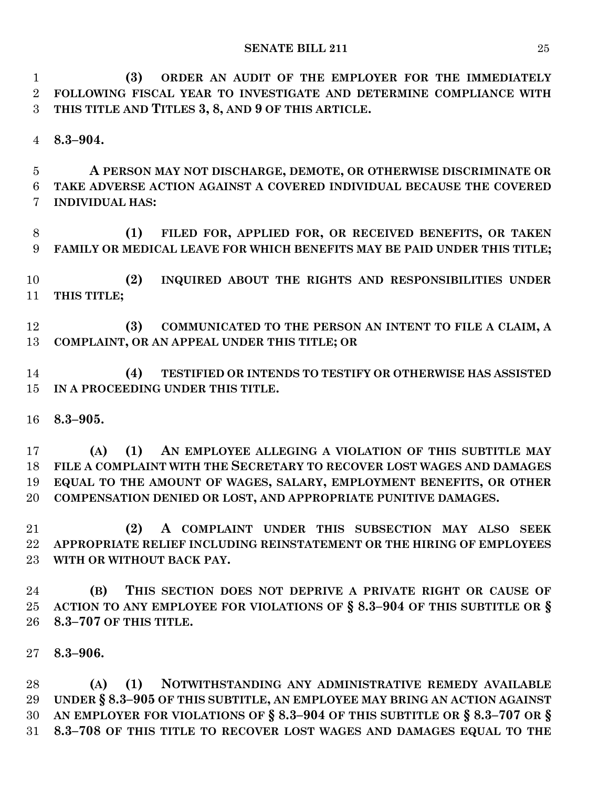**(3) ORDER AN AUDIT OF THE EMPLOYER FOR THE IMMEDIATELY FOLLOWING FISCAL YEAR TO INVESTIGATE AND DETERMINE COMPLIANCE WITH THIS TITLE AND TITLES 3, 8, AND 9 OF THIS ARTICLE.**

**8.3–904.**

 **A PERSON MAY NOT DISCHARGE, DEMOTE, OR OTHERWISE DISCRIMINATE OR TAKE ADVERSE ACTION AGAINST A COVERED INDIVIDUAL BECAUSE THE COVERED INDIVIDUAL HAS:**

 **(1) FILED FOR, APPLIED FOR, OR RECEIVED BENEFITS, OR TAKEN FAMILY OR MEDICAL LEAVE FOR WHICH BENEFITS MAY BE PAID UNDER THIS TITLE;**

 **(2) INQUIRED ABOUT THE RIGHTS AND RESPONSIBILITIES UNDER THIS TITLE;**

 **(3) COMMUNICATED TO THE PERSON AN INTENT TO FILE A CLAIM, A COMPLAINT, OR AN APPEAL UNDER THIS TITLE; OR**

 **(4) TESTIFIED OR INTENDS TO TESTIFY OR OTHERWISE HAS ASSISTED IN A PROCEEDING UNDER THIS TITLE.**

**8.3–905.**

 **(A) (1) AN EMPLOYEE ALLEGING A VIOLATION OF THIS SUBTITLE MAY FILE A COMPLAINT WITH THE SECRETARY TO RECOVER LOST WAGES AND DAMAGES EQUAL TO THE AMOUNT OF WAGES, SALARY, EMPLOYMENT BENEFITS, OR OTHER COMPENSATION DENIED OR LOST, AND APPROPRIATE PUNITIVE DAMAGES.**

 **(2) A COMPLAINT UNDER THIS SUBSECTION MAY ALSO SEEK APPROPRIATE RELIEF INCLUDING REINSTATEMENT OR THE HIRING OF EMPLOYEES WITH OR WITHOUT BACK PAY.**

 **(B) THIS SECTION DOES NOT DEPRIVE A PRIVATE RIGHT OR CAUSE OF ACTION TO ANY EMPLOYEE FOR VIOLATIONS OF § 8.3–904 OF THIS SUBTITLE OR § 8.3–707 OF THIS TITLE.**

**8.3–906.**

 **(A) (1) NOTWITHSTANDING ANY ADMINISTRATIVE REMEDY AVAILABLE UNDER § 8.3–905 OF THIS SUBTITLE, AN EMPLOYEE MAY BRING AN ACTION AGAINST AN EMPLOYER FOR VIOLATIONS OF § 8.3–904 OF THIS SUBTITLE OR § 8.3–707 OR § 8.3–708 OF THIS TITLE TO RECOVER LOST WAGES AND DAMAGES EQUAL TO THE**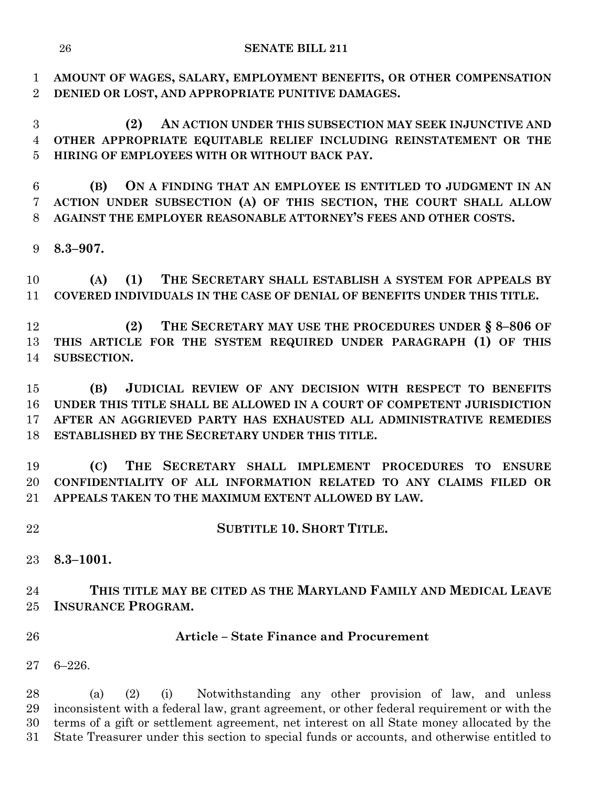**AMOUNT OF WAGES, SALARY, EMPLOYMENT BENEFITS, OR OTHER COMPENSATION DENIED OR LOST, AND APPROPRIATE PUNITIVE DAMAGES.**

 **(2) AN ACTION UNDER THIS SUBSECTION MAY SEEK INJUNCTIVE AND OTHER APPROPRIATE EQUITABLE RELIEF INCLUDING REINSTATEMENT OR THE HIRING OF EMPLOYEES WITH OR WITHOUT BACK PAY.**

 **(B) ON A FINDING THAT AN EMPLOYEE IS ENTITLED TO JUDGMENT IN AN ACTION UNDER SUBSECTION (A) OF THIS SECTION, THE COURT SHALL ALLOW AGAINST THE EMPLOYER REASONABLE ATTORNEY'S FEES AND OTHER COSTS.**

**8.3–907.**

 **(A) (1) THE SECRETARY SHALL ESTABLISH A SYSTEM FOR APPEALS BY COVERED INDIVIDUALS IN THE CASE OF DENIAL OF BENEFITS UNDER THIS TITLE.**

 **(2) THE SECRETARY MAY USE THE PROCEDURES UNDER § 8–806 OF THIS ARTICLE FOR THE SYSTEM REQUIRED UNDER PARAGRAPH (1) OF THIS SUBSECTION.**

 **(B) JUDICIAL REVIEW OF ANY DECISION WITH RESPECT TO BENEFITS UNDER THIS TITLE SHALL BE ALLOWED IN A COURT OF COMPETENT JURISDICTION AFTER AN AGGRIEVED PARTY HAS EXHAUSTED ALL ADMINISTRATIVE REMEDIES ESTABLISHED BY THE SECRETARY UNDER THIS TITLE.**

 **(C) THE SECRETARY SHALL IMPLEMENT PROCEDURES TO ENSURE CONFIDENTIALITY OF ALL INFORMATION RELATED TO ANY CLAIMS FILED OR APPEALS TAKEN TO THE MAXIMUM EXTENT ALLOWED BY LAW.**

**SUBTITLE 10. SHORT TITLE.**

**8.3–1001.**

 **THIS TITLE MAY BE CITED AS THE MARYLAND FAMILY AND MEDICAL LEAVE INSURANCE PROGRAM.**

## **Article – State Finance and Procurement**

6–226.

 (a) (2) (i) Notwithstanding any other provision of law, and unless inconsistent with a federal law, grant agreement, or other federal requirement or with the terms of a gift or settlement agreement, net interest on all State money allocated by the State Treasurer under this section to special funds or accounts, and otherwise entitled to